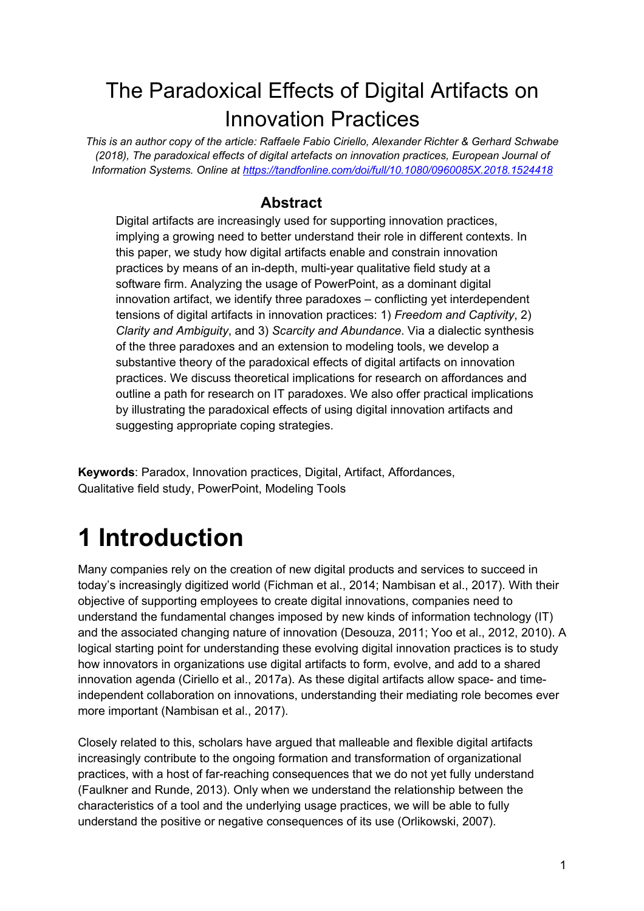## The Paradoxical Effects of Digital Artifacts on Innovation Practices

*This is an author copy of the article: Raffaele Fabio Ciriello, Alexander Richter & Gerhard Schwabe (2018), The paradoxical effects of digital artefacts on innovation practices, European Journal of Information Systems. Online at https://tandfonline.com/doi/full/10.1080/0960085X.2018.1524418*

#### **Abstract**

Digital artifacts are increasingly used for supporting innovation practices, implying a growing need to better understand their role in different contexts. In this paper, we study how digital artifacts enable and constrain innovation practices by means of an in-depth, multi-year qualitative field study at a software firm. Analyzing the usage of PowerPoint, as a dominant digital innovation artifact, we identify three paradoxes – conflicting yet interdependent tensions of digital artifacts in innovation practices: 1) *Freedom and Captivity*, 2) *Clarity and Ambiguity*, and 3) *Scarcity and Abundance*. Via a dialectic synthesis of the three paradoxes and an extension to modeling tools, we develop a substantive theory of the paradoxical effects of digital artifacts on innovation practices. We discuss theoretical implications for research on affordances and outline a path for research on IT paradoxes. We also offer practical implications by illustrating the paradoxical effects of using digital innovation artifacts and suggesting appropriate coping strategies.

**Keywords**: Paradox, Innovation practices, Digital, Artifact, Affordances, Qualitative field study, PowerPoint, Modeling Tools

# **1 Introduction**

Many companies rely on the creation of new digital products and services to succeed in today's increasingly digitized world (Fichman et al., 2014; Nambisan et al., 2017). With their objective of supporting employees to create digital innovations, companies need to understand the fundamental changes imposed by new kinds of information technology (IT) and the associated changing nature of innovation (Desouza, 2011; Yoo et al., 2012, 2010). A logical starting point for understanding these evolving digital innovation practices is to study how innovators in organizations use digital artifacts to form, evolve, and add to a shared innovation agenda (Ciriello et al., 2017a). As these digital artifacts allow space- and timeindependent collaboration on innovations, understanding their mediating role becomes ever more important (Nambisan et al., 2017).

Closely related to this, scholars have argued that malleable and flexible digital artifacts increasingly contribute to the ongoing formation and transformation of organizational practices, with a host of far-reaching consequences that we do not yet fully understand (Faulkner and Runde, 2013). Only when we understand the relationship between the characteristics of a tool and the underlying usage practices, we will be able to fully understand the positive or negative consequences of its use (Orlikowski, 2007).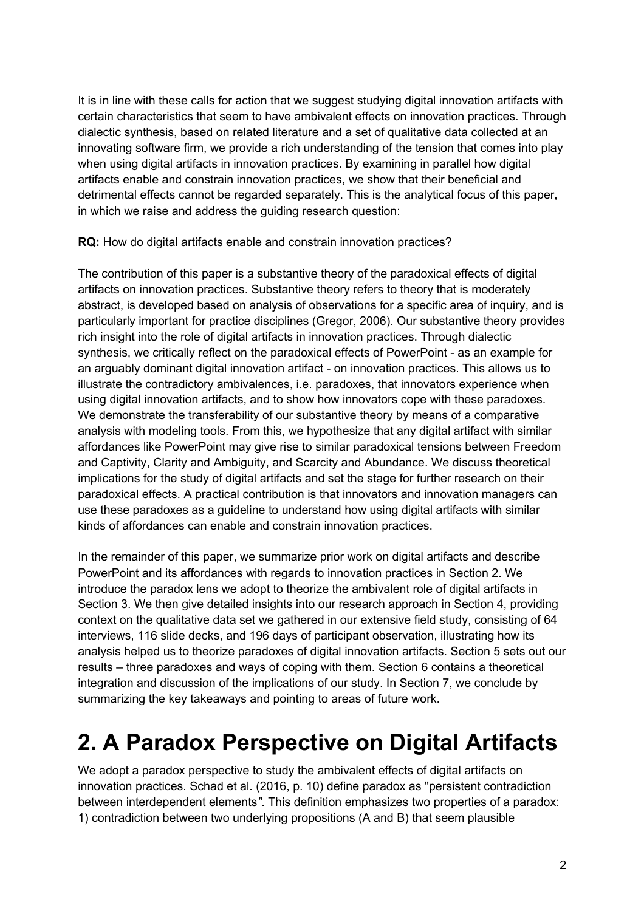It is in line with these calls for action that we suggest studying digital innovation artifacts with certain characteristics that seem to have ambivalent effects on innovation practices. Through dialectic synthesis, based on related literature and a set of qualitative data collected at an innovating software firm, we provide a rich understanding of the tension that comes into play when using digital artifacts in innovation practices. By examining in parallel how digital artifacts enable and constrain innovation practices, we show that their beneficial and detrimental effects cannot be regarded separately. This is the analytical focus of this paper, in which we raise and address the guiding research question:

**RQ:** How do digital artifacts enable and constrain innovation practices?

The contribution of this paper is a substantive theory of the paradoxical effects of digital artifacts on innovation practices. Substantive theory refers to theory that is moderately abstract, is developed based on analysis of observations for a specific area of inquiry, and is particularly important for practice disciplines (Gregor, 2006). Our substantive theory provides rich insight into the role of digital artifacts in innovation practices. Through dialectic synthesis, we critically reflect on the paradoxical effects of PowerPoint - as an example for an arguably dominant digital innovation artifact - on innovation practices. This allows us to illustrate the contradictory ambivalences, i.e. paradoxes, that innovators experience when using digital innovation artifacts, and to show how innovators cope with these paradoxes. We demonstrate the transferability of our substantive theory by means of a comparative analysis with modeling tools. From this, we hypothesize that any digital artifact with similar affordances like PowerPoint may give rise to similar paradoxical tensions between Freedom and Captivity, Clarity and Ambiguity, and Scarcity and Abundance. We discuss theoretical implications for the study of digital artifacts and set the stage for further research on their paradoxical effects. A practical contribution is that innovators and innovation managers can use these paradoxes as a guideline to understand how using digital artifacts with similar kinds of affordances can enable and constrain innovation practices.

In the remainder of this paper, we summarize prior work on digital artifacts and describe PowerPoint and its affordances with regards to innovation practices in Section 2. We introduce the paradox lens we adopt to theorize the ambivalent role of digital artifacts in Section 3. We then give detailed insights into our research approach in Section 4, providing context on the qualitative data set we gathered in our extensive field study, consisting of 64 interviews, 116 slide decks, and 196 days of participant observation, illustrating how its analysis helped us to theorize paradoxes of digital innovation artifacts. Section 5 sets out our results – three paradoxes and ways of coping with them. Section 6 contains a theoretical integration and discussion of the implications of our study. In Section 7, we conclude by summarizing the key takeaways and pointing to areas of future work.

## **2. A Paradox Perspective on Digital Artifacts**

We adopt a paradox perspective to study the ambivalent effects of digital artifacts on innovation practices. Schad et al. (2016, p. 10) define paradox as "persistent contradiction between interdependent elements*"*. This definition emphasizes two properties of a paradox: 1) contradiction between two underlying propositions (A and B) that seem plausible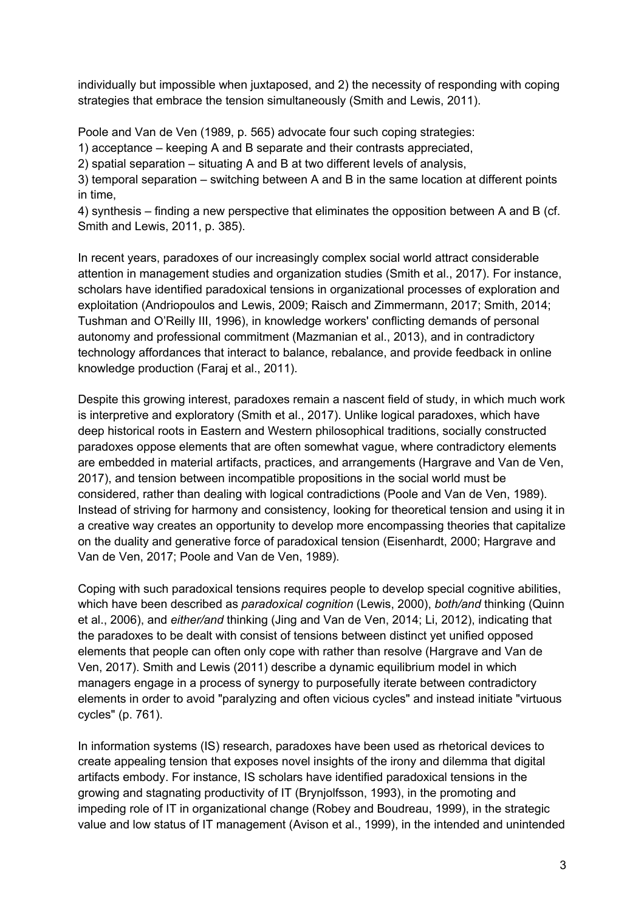individually but impossible when juxtaposed, and 2) the necessity of responding with coping strategies that embrace the tension simultaneously (Smith and Lewis, 2011).

Poole and Van de Ven (1989, p. 565) advocate four such coping strategies:

1) acceptance – keeping A and B separate and their contrasts appreciated,

2) spatial separation – situating A and B at two different levels of analysis,

3) temporal separation – switching between A and B in the same location at different points in time,

4) synthesis – finding a new perspective that eliminates the opposition between A and B (cf. Smith and Lewis, 2011, p. 385).

In recent years, paradoxes of our increasingly complex social world attract considerable attention in management studies and organization studies (Smith et al., 2017). For instance, scholars have identified paradoxical tensions in organizational processes of exploration and exploitation (Andriopoulos and Lewis, 2009; Raisch and Zimmermann, 2017; Smith, 2014; Tushman and O'Reilly III, 1996), in knowledge workers' conflicting demands of personal autonomy and professional commitment (Mazmanian et al., 2013), and in contradictory technology affordances that interact to balance, rebalance, and provide feedback in online knowledge production (Faraj et al., 2011).

Despite this growing interest, paradoxes remain a nascent field of study, in which much work is interpretive and exploratory (Smith et al., 2017). Unlike logical paradoxes, which have deep historical roots in Eastern and Western philosophical traditions, socially constructed paradoxes oppose elements that are often somewhat vague, where contradictory elements are embedded in material artifacts, practices, and arrangements (Hargrave and Van de Ven, 2017), and tension between incompatible propositions in the social world must be considered, rather than dealing with logical contradictions (Poole and Van de Ven, 1989). Instead of striving for harmony and consistency, looking for theoretical tension and using it in a creative way creates an opportunity to develop more encompassing theories that capitalize on the duality and generative force of paradoxical tension (Eisenhardt, 2000; Hargrave and Van de Ven, 2017; Poole and Van de Ven, 1989).

Coping with such paradoxical tensions requires people to develop special cognitive abilities, which have been described as *paradoxical cognition* (Lewis, 2000), *both/and* thinking (Quinn et al., 2006), and *either/and* thinking (Jing and Van de Ven, 2014; Li, 2012), indicating that the paradoxes to be dealt with consist of tensions between distinct yet unified opposed elements that people can often only cope with rather than resolve (Hargrave and Van de Ven, 2017). Smith and Lewis (2011) describe a dynamic equilibrium model in which managers engage in a process of synergy to purposefully iterate between contradictory elements in order to avoid "paralyzing and often vicious cycles" and instead initiate "virtuous cycles" (p. 761).

In information systems (IS) research, paradoxes have been used as rhetorical devices to create appealing tension that exposes novel insights of the irony and dilemma that digital artifacts embody. For instance, IS scholars have identified paradoxical tensions in the growing and stagnating productivity of IT (Brynjolfsson, 1993), in the promoting and impeding role of IT in organizational change (Robey and Boudreau, 1999), in the strategic value and low status of IT management (Avison et al., 1999), in the intended and unintended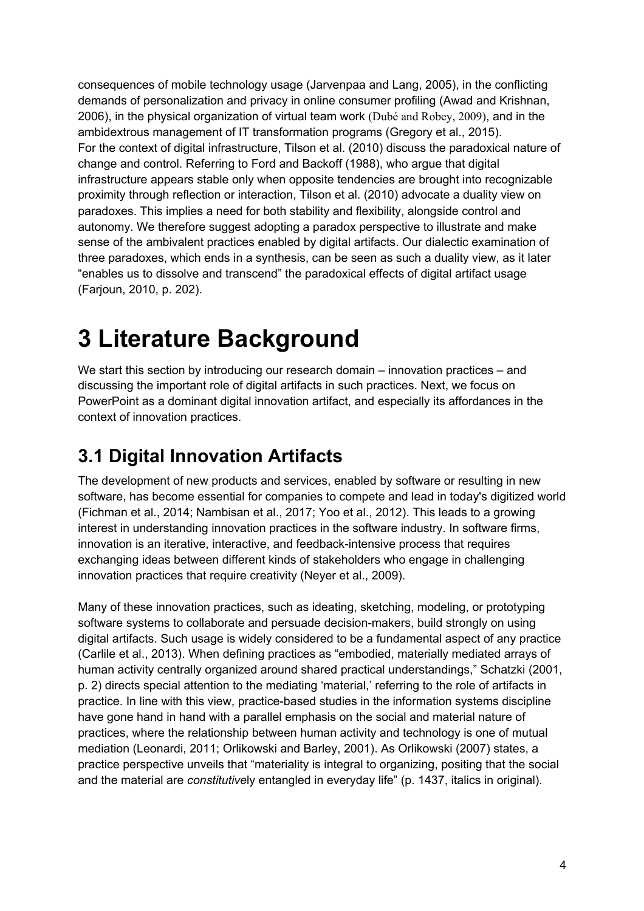consequences of mobile technology usage (Jarvenpaa and Lang, 2005), in the conflicting demands of personalization and privacy in online consumer profiling (Awad and Krishnan, 2006), in the physical organization of virtual team work (Dubé and Robey, 2009), and in the ambidextrous management of IT transformation programs (Gregory et al., 2015). For the context of digital infrastructure, Tilson et al. (2010) discuss the paradoxical nature of change and control. Referring to Ford and Backoff (1988), who argue that digital infrastructure appears stable only when opposite tendencies are brought into recognizable proximity through reflection or interaction, Tilson et al. (2010) advocate a duality view on paradoxes. This implies a need for both stability and flexibility, alongside control and autonomy. We therefore suggest adopting a paradox perspective to illustrate and make sense of the ambivalent practices enabled by digital artifacts. Our dialectic examination of three paradoxes, which ends in a synthesis, can be seen as such a duality view, as it later "enables us to dissolve and transcend" the paradoxical effects of digital artifact usage (Farjoun, 2010, p. 202).

# **3 Literature Background**

We start this section by introducing our research domain – innovation practices – and discussing the important role of digital artifacts in such practices. Next, we focus on PowerPoint as a dominant digital innovation artifact, and especially its affordances in the context of innovation practices.

## **3.1 Digital Innovation Artifacts**

The development of new products and services, enabled by software or resulting in new software, has become essential for companies to compete and lead in today's digitized world (Fichman et al., 2014; Nambisan et al., 2017; Yoo et al., 2012). This leads to a growing interest in understanding innovation practices in the software industry. In software firms, innovation is an iterative, interactive, and feedback-intensive process that requires exchanging ideas between different kinds of stakeholders who engage in challenging innovation practices that require creativity (Neyer et al., 2009).

Many of these innovation practices, such as ideating, sketching, modeling, or prototyping software systems to collaborate and persuade decision-makers, build strongly on using digital artifacts. Such usage is widely considered to be a fundamental aspect of any practice (Carlile et al., 2013). When defining practices as "embodied, materially mediated arrays of human activity centrally organized around shared practical understandings," Schatzki (2001, p. 2) directs special attention to the mediating 'material,' referring to the role of artifacts in practice. In line with this view, practice-based studies in the information systems discipline have gone hand in hand with a parallel emphasis on the social and material nature of practices, where the relationship between human activity and technology is one of mutual mediation (Leonardi, 2011; Orlikowski and Barley, 2001). As Orlikowski (2007) states, a practice perspective unveils that "materiality is integral to organizing, positing that the social and the material are *constitutive*ly entangled in everyday life" (p. 1437, italics in original).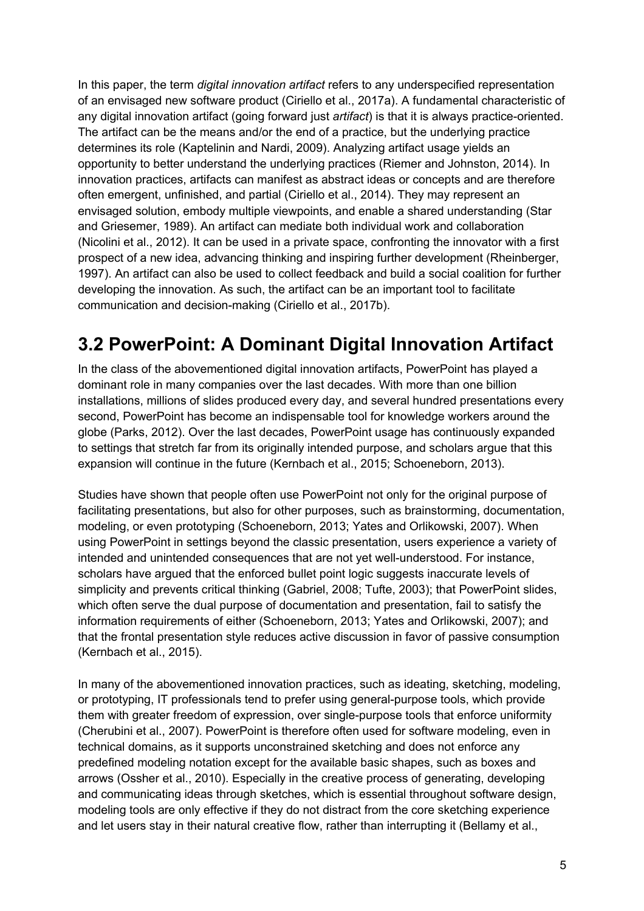In this paper, the term *digital innovation artifact* refers to any underspecified representation of an envisaged new software product (Ciriello et al., 2017a). A fundamental characteristic of any digital innovation artifact (going forward just *artifact*) is that it is always practice-oriented. The artifact can be the means and/or the end of a practice, but the underlying practice determines its role (Kaptelinin and Nardi, 2009). Analyzing artifact usage yields an opportunity to better understand the underlying practices (Riemer and Johnston, 2014). In innovation practices, artifacts can manifest as abstract ideas or concepts and are therefore often emergent, unfinished, and partial (Ciriello et al., 2014). They may represent an envisaged solution, embody multiple viewpoints, and enable a shared understanding (Star and Griesemer, 1989). An artifact can mediate both individual work and collaboration (Nicolini et al., 2012). It can be used in a private space, confronting the innovator with a first prospect of a new idea, advancing thinking and inspiring further development (Rheinberger, 1997). An artifact can also be used to collect feedback and build a social coalition for further developing the innovation. As such, the artifact can be an important tool to facilitate communication and decision-making (Ciriello et al., 2017b).

## **3.2 PowerPoint: A Dominant Digital Innovation Artifact**

In the class of the abovementioned digital innovation artifacts, PowerPoint has played a dominant role in many companies over the last decades. With more than one billion installations, millions of slides produced every day, and several hundred presentations every second, PowerPoint has become an indispensable tool for knowledge workers around the globe (Parks, 2012). Over the last decades, PowerPoint usage has continuously expanded to settings that stretch far from its originally intended purpose, and scholars argue that this expansion will continue in the future (Kernbach et al., 2015; Schoeneborn, 2013).

Studies have shown that people often use PowerPoint not only for the original purpose of facilitating presentations, but also for other purposes, such as brainstorming, documentation, modeling, or even prototyping (Schoeneborn, 2013; Yates and Orlikowski, 2007). When using PowerPoint in settings beyond the classic presentation, users experience a variety of intended and unintended consequences that are not yet well-understood. For instance, scholars have argued that the enforced bullet point logic suggests inaccurate levels of simplicity and prevents critical thinking (Gabriel, 2008; Tufte, 2003); that PowerPoint slides, which often serve the dual purpose of documentation and presentation, fail to satisfy the information requirements of either (Schoeneborn, 2013; Yates and Orlikowski, 2007); and that the frontal presentation style reduces active discussion in favor of passive consumption (Kernbach et al., 2015).

In many of the abovementioned innovation practices, such as ideating, sketching, modeling, or prototyping, IT professionals tend to prefer using general-purpose tools, which provide them with greater freedom of expression, over single-purpose tools that enforce uniformity (Cherubini et al., 2007). PowerPoint is therefore often used for software modeling, even in technical domains, as it supports unconstrained sketching and does not enforce any predefined modeling notation except for the available basic shapes, such as boxes and arrows (Ossher et al., 2010). Especially in the creative process of generating, developing and communicating ideas through sketches, which is essential throughout software design, modeling tools are only effective if they do not distract from the core sketching experience and let users stay in their natural creative flow, rather than interrupting it (Bellamy et al.,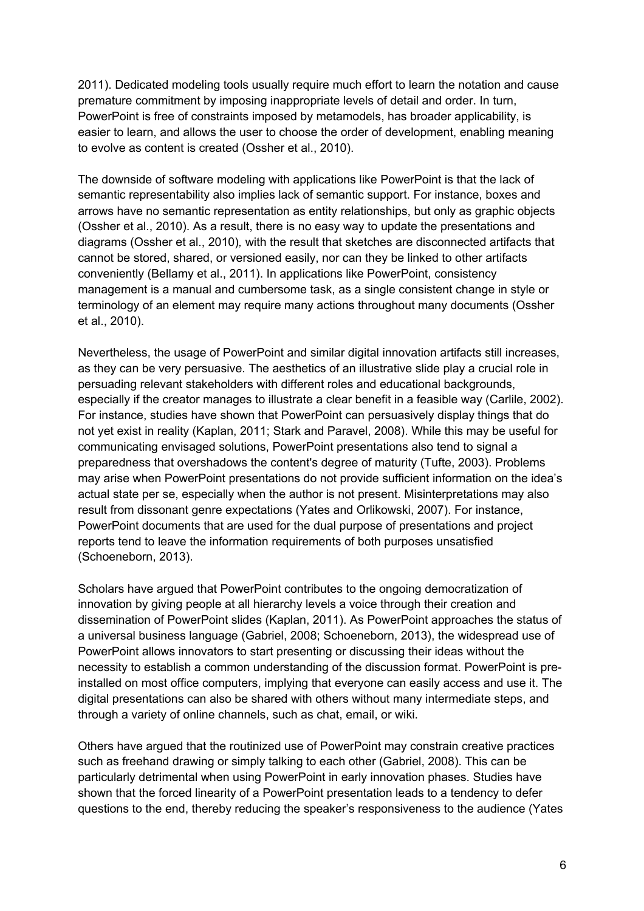2011). Dedicated modeling tools usually require much effort to learn the notation and cause premature commitment by imposing inappropriate levels of detail and order. In turn, PowerPoint is free of constraints imposed by metamodels, has broader applicability, is easier to learn, and allows the user to choose the order of development, enabling meaning to evolve as content is created (Ossher et al., 2010).

The downside of software modeling with applications like PowerPoint is that the lack of semantic representability also implies lack of semantic support. For instance, boxes and arrows have no semantic representation as entity relationships, but only as graphic objects (Ossher et al., 2010). As a result, there is no easy way to update the presentations and diagrams (Ossher et al., 2010)*,* with the result that sketches are disconnected artifacts that cannot be stored, shared, or versioned easily, nor can they be linked to other artifacts conveniently (Bellamy et al., 2011). In applications like PowerPoint, consistency management is a manual and cumbersome task, as a single consistent change in style or terminology of an element may require many actions throughout many documents (Ossher et al., 2010).

Nevertheless, the usage of PowerPoint and similar digital innovation artifacts still increases, as they can be very persuasive. The aesthetics of an illustrative slide play a crucial role in persuading relevant stakeholders with different roles and educational backgrounds, especially if the creator manages to illustrate a clear benefit in a feasible way (Carlile, 2002). For instance, studies have shown that PowerPoint can persuasively display things that do not yet exist in reality (Kaplan, 2011; Stark and Paravel, 2008). While this may be useful for communicating envisaged solutions, PowerPoint presentations also tend to signal a preparedness that overshadows the content's degree of maturity (Tufte, 2003). Problems may arise when PowerPoint presentations do not provide sufficient information on the idea's actual state per se, especially when the author is not present. Misinterpretations may also result from dissonant genre expectations (Yates and Orlikowski, 2007). For instance, PowerPoint documents that are used for the dual purpose of presentations and project reports tend to leave the information requirements of both purposes unsatisfied (Schoeneborn, 2013).

Scholars have argued that PowerPoint contributes to the ongoing democratization of innovation by giving people at all hierarchy levels a voice through their creation and dissemination of PowerPoint slides (Kaplan, 2011). As PowerPoint approaches the status of a universal business language (Gabriel, 2008; Schoeneborn, 2013), the widespread use of PowerPoint allows innovators to start presenting or discussing their ideas without the necessity to establish a common understanding of the discussion format. PowerPoint is preinstalled on most office computers, implying that everyone can easily access and use it. The digital presentations can also be shared with others without many intermediate steps, and through a variety of online channels, such as chat, email, or wiki.

Others have argued that the routinized use of PowerPoint may constrain creative practices such as freehand drawing or simply talking to each other (Gabriel, 2008). This can be particularly detrimental when using PowerPoint in early innovation phases. Studies have shown that the forced linearity of a PowerPoint presentation leads to a tendency to defer questions to the end, thereby reducing the speaker's responsiveness to the audience (Yates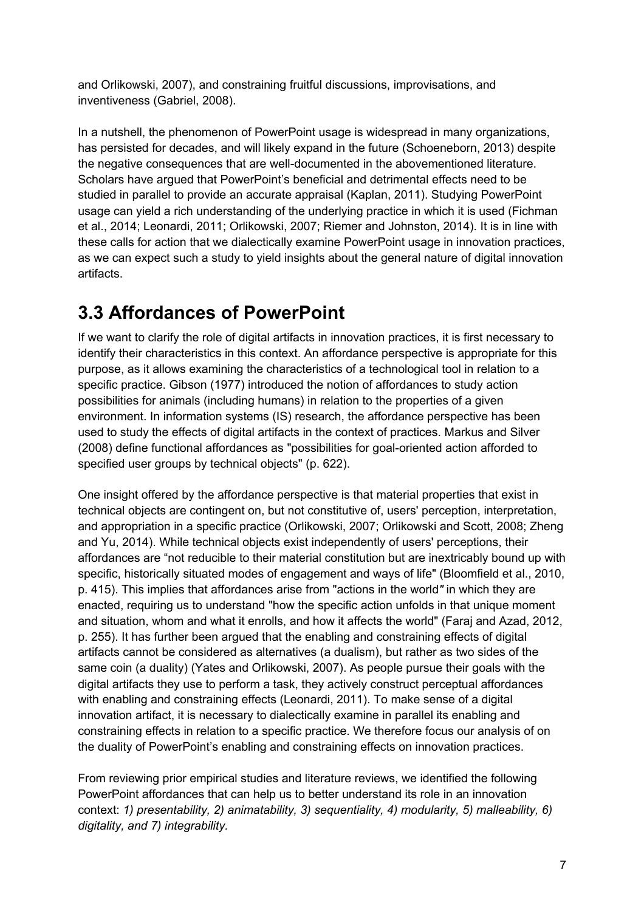and Orlikowski, 2007), and constraining fruitful discussions, improvisations, and inventiveness (Gabriel, 2008).

In a nutshell, the phenomenon of PowerPoint usage is widespread in many organizations, has persisted for decades, and will likely expand in the future (Schoeneborn, 2013) despite the negative consequences that are well-documented in the abovementioned literature. Scholars have argued that PowerPoint's beneficial and detrimental effects need to be studied in parallel to provide an accurate appraisal (Kaplan, 2011). Studying PowerPoint usage can yield a rich understanding of the underlying practice in which it is used (Fichman et al., 2014; Leonardi, 2011; Orlikowski, 2007; Riemer and Johnston, 2014). It is in line with these calls for action that we dialectically examine PowerPoint usage in innovation practices, as we can expect such a study to yield insights about the general nature of digital innovation artifacts.

### **3.3 Affordances of PowerPoint**

If we want to clarify the role of digital artifacts in innovation practices, it is first necessary to identify their characteristics in this context. An affordance perspective is appropriate for this purpose, as it allows examining the characteristics of a technological tool in relation to a specific practice. Gibson (1977) introduced the notion of affordances to study action possibilities for animals (including humans) in relation to the properties of a given environment. In information systems (IS) research, the affordance perspective has been used to study the effects of digital artifacts in the context of practices. Markus and Silver (2008) define functional affordances as "possibilities for goal-oriented action afforded to specified user groups by technical objects" (p. 622).

One insight offered by the affordance perspective is that material properties that exist in technical objects are contingent on, but not constitutive of, users' perception, interpretation, and appropriation in a specific practice (Orlikowski, 2007; Orlikowski and Scott, 2008; Zheng and Yu, 2014). While technical objects exist independently of users' perceptions, their affordances are "not reducible to their material constitution but are inextricably bound up with specific, historically situated modes of engagement and ways of life" (Bloomfield et al., 2010, p. 415). This implies that affordances arise from "actions in the world*"* in which they are enacted, requiring us to understand "how the specific action unfolds in that unique moment and situation, whom and what it enrolls, and how it affects the world" (Faraj and Azad, 2012, p. 255). It has further been argued that the enabling and constraining effects of digital artifacts cannot be considered as alternatives (a dualism), but rather as two sides of the same coin (a duality) (Yates and Orlikowski, 2007). As people pursue their goals with the digital artifacts they use to perform a task, they actively construct perceptual affordances with enabling and constraining effects (Leonardi, 2011). To make sense of a digital innovation artifact, it is necessary to dialectically examine in parallel its enabling and constraining effects in relation to a specific practice. We therefore focus our analysis of on the duality of PowerPoint's enabling and constraining effects on innovation practices.

From reviewing prior empirical studies and literature reviews, we identified the following PowerPoint affordances that can help us to better understand its role in an innovation context: *1) presentability, 2) animatability, 3) sequentiality, 4) modularity, 5) malleability, 6) digitality, and 7) integrability.*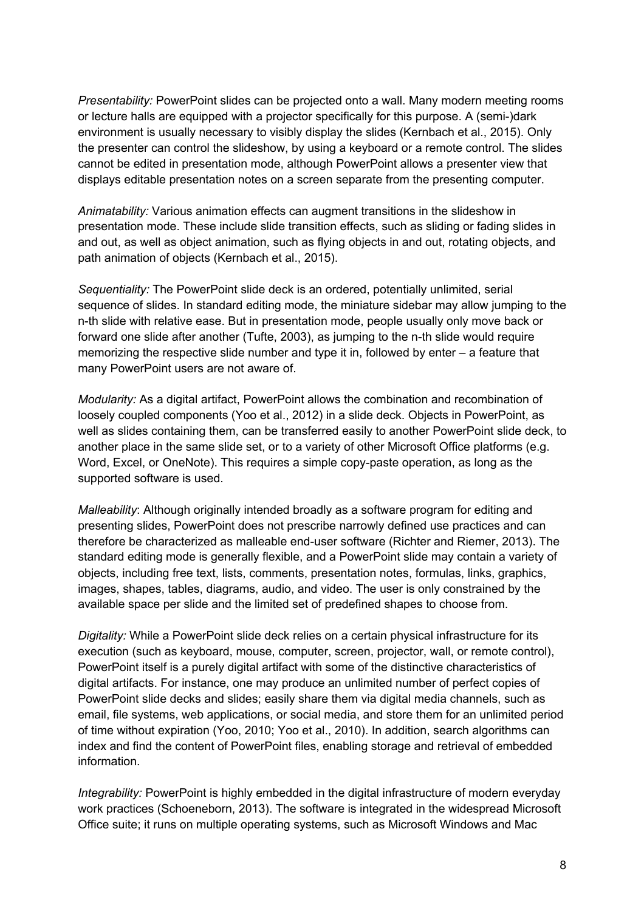*Presentability:* PowerPoint slides can be projected onto a wall. Many modern meeting rooms or lecture halls are equipped with a projector specifically for this purpose. A (semi-)dark environment is usually necessary to visibly display the slides (Kernbach et al., 2015). Only the presenter can control the slideshow, by using a keyboard or a remote control. The slides cannot be edited in presentation mode, although PowerPoint allows a presenter view that displays editable presentation notes on a screen separate from the presenting computer.

*Animatability:* Various animation effects can augment transitions in the slideshow in presentation mode. These include slide transition effects, such as sliding or fading slides in and out, as well as object animation, such as flying objects in and out, rotating objects, and path animation of objects (Kernbach et al., 2015).

*Sequentiality:* The PowerPoint slide deck is an ordered, potentially unlimited, serial sequence of slides. In standard editing mode, the miniature sidebar may allow jumping to the n-th slide with relative ease. But in presentation mode, people usually only move back or forward one slide after another (Tufte, 2003), as jumping to the n-th slide would require memorizing the respective slide number and type it in, followed by enter – a feature that many PowerPoint users are not aware of.

*Modularity:* As a digital artifact, PowerPoint allows the combination and recombination of loosely coupled components (Yoo et al., 2012) in a slide deck. Objects in PowerPoint, as well as slides containing them, can be transferred easily to another PowerPoint slide deck, to another place in the same slide set, or to a variety of other Microsoft Office platforms (e.g. Word, Excel, or OneNote). This requires a simple copy-paste operation, as long as the supported software is used.

*Malleability:* Although originally intended broadly as a software program for editing and presenting slides, PowerPoint does not prescribe narrowly defined use practices and can therefore be characterized as malleable end-user software (Richter and Riemer, 2013). The standard editing mode is generally flexible, and a PowerPoint slide may contain a variety of objects, including free text, lists, comments, presentation notes, formulas, links, graphics, images, shapes, tables, diagrams, audio, and video. The user is only constrained by the available space per slide and the limited set of predefined shapes to choose from.

*Digitality:* While a PowerPoint slide deck relies on a certain physical infrastructure for its execution (such as keyboard, mouse, computer, screen, projector, wall, or remote control), PowerPoint itself is a purely digital artifact with some of the distinctive characteristics of digital artifacts. For instance, one may produce an unlimited number of perfect copies of PowerPoint slide decks and slides; easily share them via digital media channels, such as email, file systems, web applications, or social media, and store them for an unlimited period of time without expiration (Yoo, 2010; Yoo et al., 2010). In addition, search algorithms can index and find the content of PowerPoint files, enabling storage and retrieval of embedded information.

*Integrability:* PowerPoint is highly embedded in the digital infrastructure of modern everyday work practices (Schoeneborn, 2013). The software is integrated in the widespread Microsoft Office suite; it runs on multiple operating systems, such as Microsoft Windows and Mac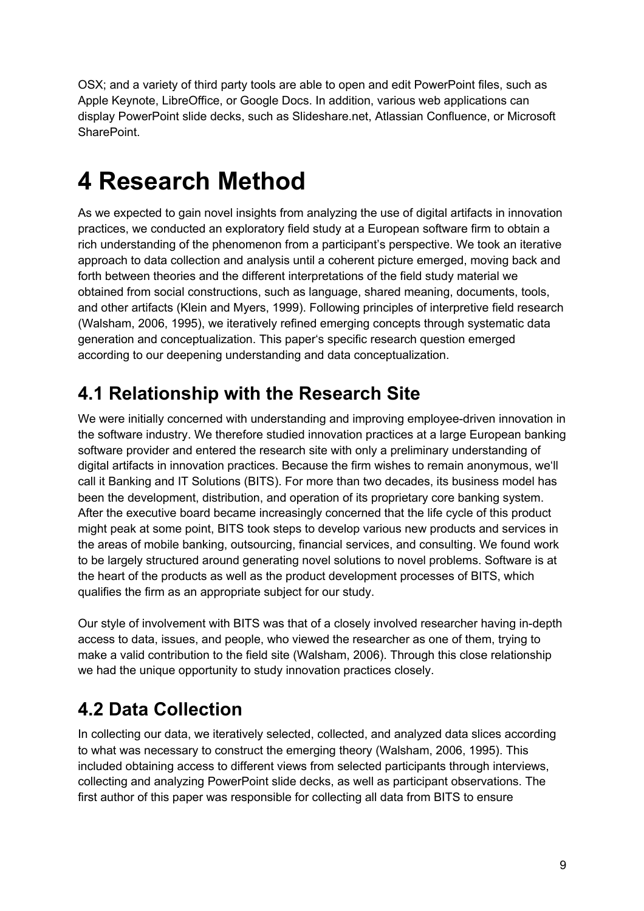OSX; and a variety of third party tools are able to open and edit PowerPoint files, such as Apple Keynote, LibreOffice, or Google Docs. In addition, various web applications can display PowerPoint slide decks, such as Slideshare.net, Atlassian Confluence, or Microsoft SharePoint.

# **4 Research Method**

As we expected to gain novel insights from analyzing the use of digital artifacts in innovation practices, we conducted an exploratory field study at a European software firm to obtain a rich understanding of the phenomenon from a participant's perspective. We took an iterative approach to data collection and analysis until a coherent picture emerged, moving back and forth between theories and the different interpretations of the field study material we obtained from social constructions, such as language, shared meaning, documents, tools, and other artifacts (Klein and Myers, 1999). Following principles of interpretive field research (Walsham, 2006, 1995), we iteratively refined emerging concepts through systematic data generation and conceptualization. This paper's specific research question emerged according to our deepening understanding and data conceptualization.

## **4.1 Relationship with the Research Site**

We were initially concerned with understanding and improving employee-driven innovation in the software industry. We therefore studied innovation practices at a large European banking software provider and entered the research site with only a preliminary understanding of digital artifacts in innovation practices. Because the firm wishes to remain anonymous, we'll call it Banking and IT Solutions (BITS). For more than two decades, its business model has been the development, distribution, and operation of its proprietary core banking system. After the executive board became increasingly concerned that the life cycle of this product might peak at some point, BITS took steps to develop various new products and services in the areas of mobile banking, outsourcing, financial services, and consulting. We found work to be largely structured around generating novel solutions to novel problems. Software is at the heart of the products as well as the product development processes of BITS, which qualifies the firm as an appropriate subject for our study.

Our style of involvement with BITS was that of a closely involved researcher having in-depth access to data, issues, and people, who viewed the researcher as one of them, trying to make a valid contribution to the field site (Walsham, 2006). Through this close relationship we had the unique opportunity to study innovation practices closely.

## **4.2 Data Collection**

In collecting our data, we iteratively selected, collected, and analyzed data slices according to what was necessary to construct the emerging theory (Walsham, 2006, 1995). This included obtaining access to different views from selected participants through interviews, collecting and analyzing PowerPoint slide decks, as well as participant observations. The first author of this paper was responsible for collecting all data from BITS to ensure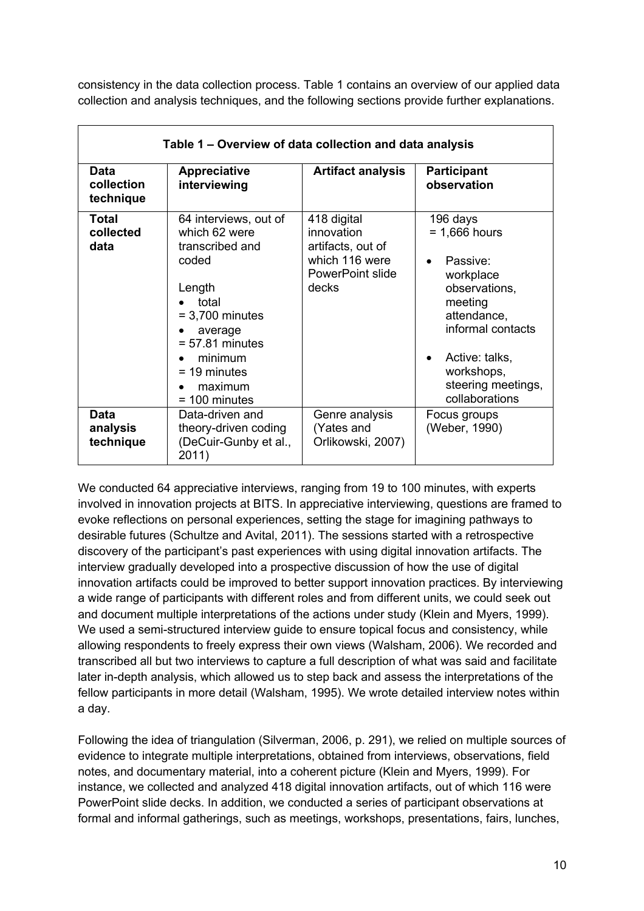consistency in the data collection process. Table 1 contains an overview of our applied data collection and analysis techniques, and the following sections provide further explanations.

| Table 1 – Overview of data collection and data analysis |                                                                                                                                                                                                       |                                                                                               |                                                                                                                                                                                              |  |  |
|---------------------------------------------------------|-------------------------------------------------------------------------------------------------------------------------------------------------------------------------------------------------------|-----------------------------------------------------------------------------------------------|----------------------------------------------------------------------------------------------------------------------------------------------------------------------------------------------|--|--|
| Data<br>collection<br>technique                         | <b>Appreciative</b><br>interviewing                                                                                                                                                                   | <b>Artifact analysis</b>                                                                      | <b>Participant</b><br>observation                                                                                                                                                            |  |  |
| Total<br>collected<br>data                              | 64 interviews, out of<br>which 62 were<br>transcribed and<br>coded<br>Length<br>total<br>$= 3,700$ minutes<br>average<br>$= 57.81$ minutes<br>minimum<br>$=$ 19 minutes<br>maximum<br>$= 100$ minutes | 418 digital<br>innovation<br>artifacts, out of<br>which 116 were<br>PowerPoint slide<br>decks | 196 days<br>$= 1,666$ hours<br>Passive:<br>workplace<br>observations,<br>meeting<br>attendance,<br>informal contacts<br>Active: talks,<br>workshops,<br>steering meetings,<br>collaborations |  |  |
| <b>Data</b><br>analysis<br>technique                    | Data-driven and<br>theory-driven coding<br>(DeCuir-Gunby et al.,<br>2011)                                                                                                                             | Genre analysis<br>(Yates and<br>Orlikowski, 2007)                                             | Focus groups<br>(Weber, 1990)                                                                                                                                                                |  |  |

We conducted 64 appreciative interviews, ranging from 19 to 100 minutes, with experts involved in innovation projects at BITS. In appreciative interviewing, questions are framed to evoke reflections on personal experiences, setting the stage for imagining pathways to desirable futures (Schultze and Avital, 2011). The sessions started with a retrospective discovery of the participant's past experiences with using digital innovation artifacts. The interview gradually developed into a prospective discussion of how the use of digital innovation artifacts could be improved to better support innovation practices. By interviewing a wide range of participants with different roles and from different units, we could seek out and document multiple interpretations of the actions under study (Klein and Myers, 1999). We used a semi-structured interview guide to ensure topical focus and consistency, while allowing respondents to freely express their own views (Walsham, 2006). We recorded and transcribed all but two interviews to capture a full description of what was said and facilitate later in-depth analysis, which allowed us to step back and assess the interpretations of the fellow participants in more detail (Walsham, 1995). We wrote detailed interview notes within a day.

Following the idea of triangulation (Silverman, 2006, p. 291), we relied on multiple sources of evidence to integrate multiple interpretations, obtained from interviews, observations, field notes, and documentary material, into a coherent picture (Klein and Myers, 1999). For instance, we collected and analyzed 418 digital innovation artifacts, out of which 116 were PowerPoint slide decks. In addition, we conducted a series of participant observations at formal and informal gatherings, such as meetings, workshops, presentations, fairs, lunches,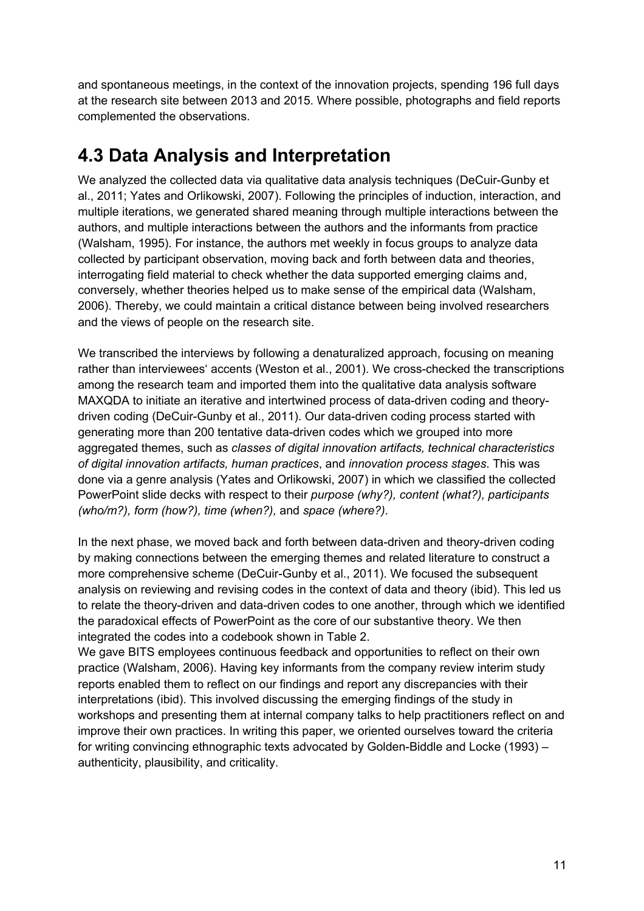and spontaneous meetings, in the context of the innovation projects, spending 196 full days at the research site between 2013 and 2015. Where possible, photographs and field reports complemented the observations.

### **4.3 Data Analysis and Interpretation**

We analyzed the collected data via qualitative data analysis techniques (DeCuir-Gunby et al., 2011; Yates and Orlikowski, 2007). Following the principles of induction, interaction, and multiple iterations, we generated shared meaning through multiple interactions between the authors, and multiple interactions between the authors and the informants from practice (Walsham, 1995). For instance, the authors met weekly in focus groups to analyze data collected by participant observation, moving back and forth between data and theories, interrogating field material to check whether the data supported emerging claims and, conversely, whether theories helped us to make sense of the empirical data (Walsham, 2006). Thereby, we could maintain a critical distance between being involved researchers and the views of people on the research site.

We transcribed the interviews by following a denaturalized approach, focusing on meaning rather than interviewees' accents (Weston et al., 2001). We cross-checked the transcriptions among the research team and imported them into the qualitative data analysis software MAXQDA to initiate an iterative and intertwined process of data-driven coding and theorydriven coding (DeCuir-Gunby et al., 2011). Our data-driven coding process started with generating more than 200 tentative data-driven codes which we grouped into more aggregated themes, such as *classes of digital innovation artifacts, technical characteristics of digital innovation artifacts, human practices*, and *innovation process stages*. This was done via a genre analysis (Yates and Orlikowski, 2007) in which we classified the collected PowerPoint slide decks with respect to their *purpose (why?), content (what?), participants (who/m?), form (how?), time (when?),* and *space (where?)*.

In the next phase, we moved back and forth between data-driven and theory-driven coding by making connections between the emerging themes and related literature to construct a more comprehensive scheme (DeCuir-Gunby et al., 2011). We focused the subsequent analysis on reviewing and revising codes in the context of data and theory (ibid). This led us to relate the theory-driven and data-driven codes to one another, through which we identified the paradoxical effects of PowerPoint as the core of our substantive theory. We then integrated the codes into a codebook shown in Table 2.

We gave BITS employees continuous feedback and opportunities to reflect on their own practice (Walsham, 2006). Having key informants from the company review interim study reports enabled them to reflect on our findings and report any discrepancies with their interpretations (ibid). This involved discussing the emerging findings of the study in workshops and presenting them at internal company talks to help practitioners reflect on and improve their own practices. In writing this paper, we oriented ourselves toward the criteria for writing convincing ethnographic texts advocated by Golden-Biddle and Locke (1993) – authenticity, plausibility, and criticality.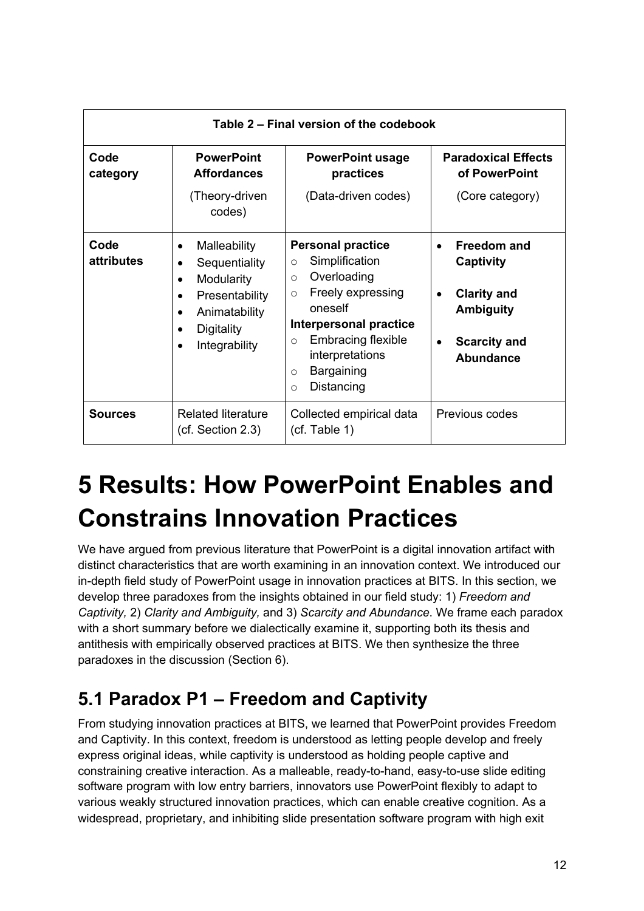| Table 2 – Final version of the codebook |                                                                                                                                              |                                                                                                                                                                                                                                                                          |                                                                                                                      |  |  |
|-----------------------------------------|----------------------------------------------------------------------------------------------------------------------------------------------|--------------------------------------------------------------------------------------------------------------------------------------------------------------------------------------------------------------------------------------------------------------------------|----------------------------------------------------------------------------------------------------------------------|--|--|
| Code<br>category                        | <b>PowerPoint</b><br><b>Affordances</b><br>(Theory-driven<br>codes)                                                                          | <b>PowerPoint usage</b><br>practices<br>(Data-driven codes)                                                                                                                                                                                                              | <b>Paradoxical Effects</b><br>of PowerPoint<br>(Core category)                                                       |  |  |
| Code<br>attributes                      | Malleability<br>$\bullet$<br>Sequentiality<br>Modularity<br>$\bullet$<br>Presentability<br>٠<br>Animatability<br>Digitality<br>Integrability | <b>Personal practice</b><br>Simplification<br>$\circ$<br>Overloading<br>$\circ$<br>Freely expressing<br>$\circ$<br>oneself<br>Interpersonal practice<br><b>Embracing flexible</b><br>$\circ$<br>interpretations<br><b>Bargaining</b><br>$\circ$<br>Distancing<br>$\circ$ | <b>Freedom and</b><br>Captivity<br><b>Clarity and</b><br><b>Ambiguity</b><br><b>Scarcity and</b><br><b>Abundance</b> |  |  |
| <b>Sources</b>                          | <b>Related literature</b><br>(cf. Section 2.3)                                                                                               | Collected empirical data<br>(cf. Table 1)                                                                                                                                                                                                                                | Previous codes                                                                                                       |  |  |

# **5 Results: How PowerPoint Enables and Constrains Innovation Practices**

We have argued from previous literature that PowerPoint is a digital innovation artifact with distinct characteristics that are worth examining in an innovation context. We introduced our in-depth field study of PowerPoint usage in innovation practices at BITS. In this section, we develop three paradoxes from the insights obtained in our field study: 1) *Freedom and Captivity,* 2) *Clarity and Ambiguity,* and 3) *Scarcity and Abundance*. We frame each paradox with a short summary before we dialectically examine it, supporting both its thesis and antithesis with empirically observed practices at BITS. We then synthesize the three paradoxes in the discussion (Section 6).

## **5.1 Paradox P1 – Freedom and Captivity**

From studying innovation practices at BITS, we learned that PowerPoint provides Freedom and Captivity. In this context, freedom is understood as letting people develop and freely express original ideas, while captivity is understood as holding people captive and constraining creative interaction. As a malleable, ready-to-hand, easy-to-use slide editing software program with low entry barriers, innovators use PowerPoint flexibly to adapt to various weakly structured innovation practices, which can enable creative cognition. As a widespread, proprietary, and inhibiting slide presentation software program with high exit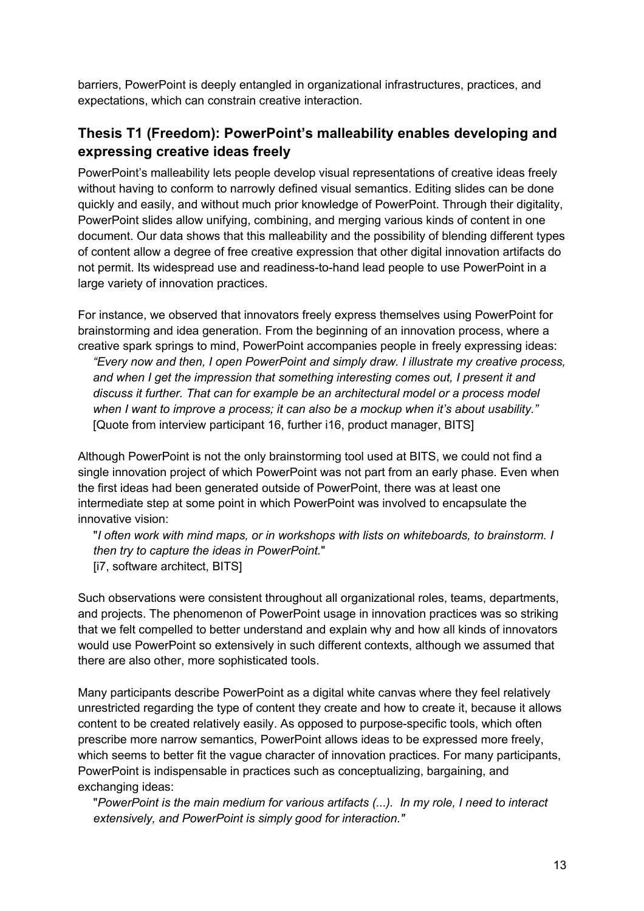barriers, PowerPoint is deeply entangled in organizational infrastructures, practices, and expectations, which can constrain creative interaction.

#### **Thesis T1 (Freedom): PowerPoint's malleability enables developing and expressing creative ideas freely**

PowerPoint's malleability lets people develop visual representations of creative ideas freely without having to conform to narrowly defined visual semantics. Editing slides can be done quickly and easily, and without much prior knowledge of PowerPoint. Through their digitality, PowerPoint slides allow unifying, combining, and merging various kinds of content in one document. Our data shows that this malleability and the possibility of blending different types of content allow a degree of free creative expression that other digital innovation artifacts do not permit. Its widespread use and readiness-to-hand lead people to use PowerPoint in a large variety of innovation practices.

For instance, we observed that innovators freely express themselves using PowerPoint for brainstorming and idea generation. From the beginning of an innovation process, where a creative spark springs to mind, PowerPoint accompanies people in freely expressing ideas: *"Every now and then, I open PowerPoint and simply draw. I illustrate my creative process, and when I get the impression that something interesting comes out, I present it and discuss it further. That can for example be an architectural model or a process model when I want to improve a process; it can also be a mockup when it's about usability."*  [Quote from interview participant 16, further i16, product manager, BITS]

Although PowerPoint is not the only brainstorming tool used at BITS, we could not find a single innovation project of which PowerPoint was not part from an early phase. Even when the first ideas had been generated outside of PowerPoint, there was at least one intermediate step at some point in which PowerPoint was involved to encapsulate the innovative vision:

"*I often work with mind maps, or in workshops with lists on whiteboards, to brainstorm. I then try to capture the ideas in PowerPoint.*" [i7, software architect, BITS]

Such observations were consistent throughout all organizational roles, teams, departments, and projects. The phenomenon of PowerPoint usage in innovation practices was so striking that we felt compelled to better understand and explain why and how all kinds of innovators would use PowerPoint so extensively in such different contexts, although we assumed that there are also other, more sophisticated tools.

Many participants describe PowerPoint as a digital white canvas where they feel relatively unrestricted regarding the type of content they create and how to create it, because it allows content to be created relatively easily. As opposed to purpose-specific tools, which often prescribe more narrow semantics, PowerPoint allows ideas to be expressed more freely, which seems to better fit the vague character of innovation practices. For many participants, PowerPoint is indispensable in practices such as conceptualizing, bargaining, and exchanging ideas:

"*PowerPoint is the main medium for various artifacts (...). In my role, I need to interact extensively, and PowerPoint is simply good for interaction."*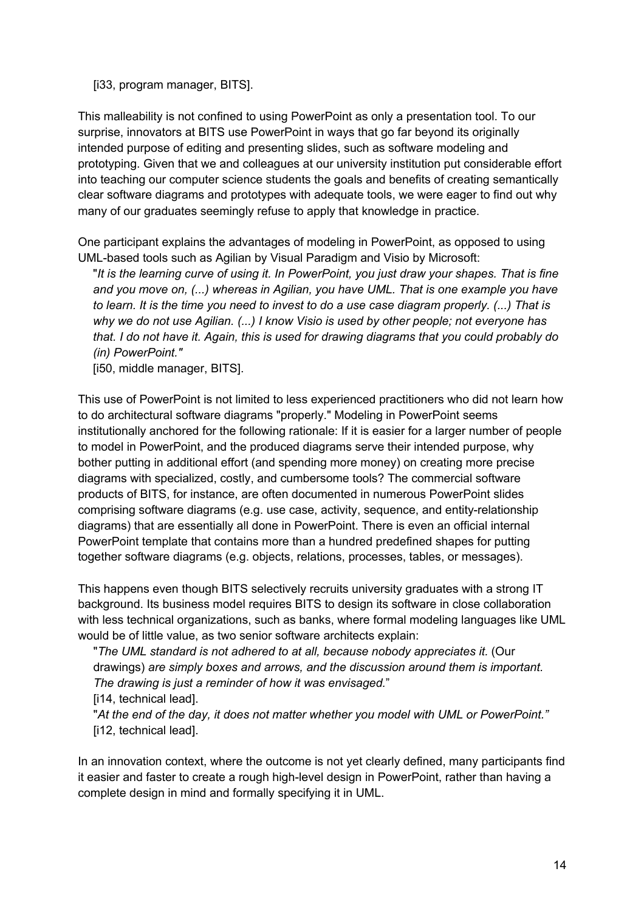[i33, program manager, BITS].

This malleability is not confined to using PowerPoint as only a presentation tool. To our surprise, innovators at BITS use PowerPoint in ways that go far beyond its originally intended purpose of editing and presenting slides, such as software modeling and prototyping. Given that we and colleagues at our university institution put considerable effort into teaching our computer science students the goals and benefits of creating semantically clear software diagrams and prototypes with adequate tools, we were eager to find out why many of our graduates seemingly refuse to apply that knowledge in practice.

One participant explains the advantages of modeling in PowerPoint, as opposed to using UML-based tools such as Agilian by Visual Paradigm and Visio by Microsoft:

"*It is the learning curve of using it. In PowerPoint, you just draw your shapes. That is fine and you move on, (...) whereas in Agilian, you have UML. That is one example you have to learn. It is the time you need to invest to do a use case diagram properly. (...) That is why we do not use Agilian. (...) I know Visio is used by other people; not everyone has that. I do not have it. Again, this is used for drawing diagrams that you could probably do (in) PowerPoint."*

[i50, middle manager, BITS].

This use of PowerPoint is not limited to less experienced practitioners who did not learn how to do architectural software diagrams "properly." Modeling in PowerPoint seems institutionally anchored for the following rationale: If it is easier for a larger number of people to model in PowerPoint, and the produced diagrams serve their intended purpose, why bother putting in additional effort (and spending more money) on creating more precise diagrams with specialized, costly, and cumbersome tools? The commercial software products of BITS, for instance, are often documented in numerous PowerPoint slides comprising software diagrams (e.g. use case, activity, sequence, and entity-relationship diagrams) that are essentially all done in PowerPoint. There is even an official internal PowerPoint template that contains more than a hundred predefined shapes for putting together software diagrams (e.g. objects, relations, processes, tables, or messages).

This happens even though BITS selectively recruits university graduates with a strong IT background. Its business model requires BITS to design its software in close collaboration with less technical organizations, such as banks, where formal modeling languages like UML would be of little value, as two senior software architects explain:

"*The UML standard is not adhered to at all, because nobody appreciates it.* (Our drawings) *are simply boxes and arrows, and the discussion around them is important. The drawing is just a reminder of how it was envisaged.*"

[i14, technical lead].

"*At the end of the day, it does not matter whether you model with UML or PowerPoint."*  [i12, technical lead].

In an innovation context, where the outcome is not yet clearly defined, many participants find it easier and faster to create a rough high-level design in PowerPoint, rather than having a complete design in mind and formally specifying it in UML.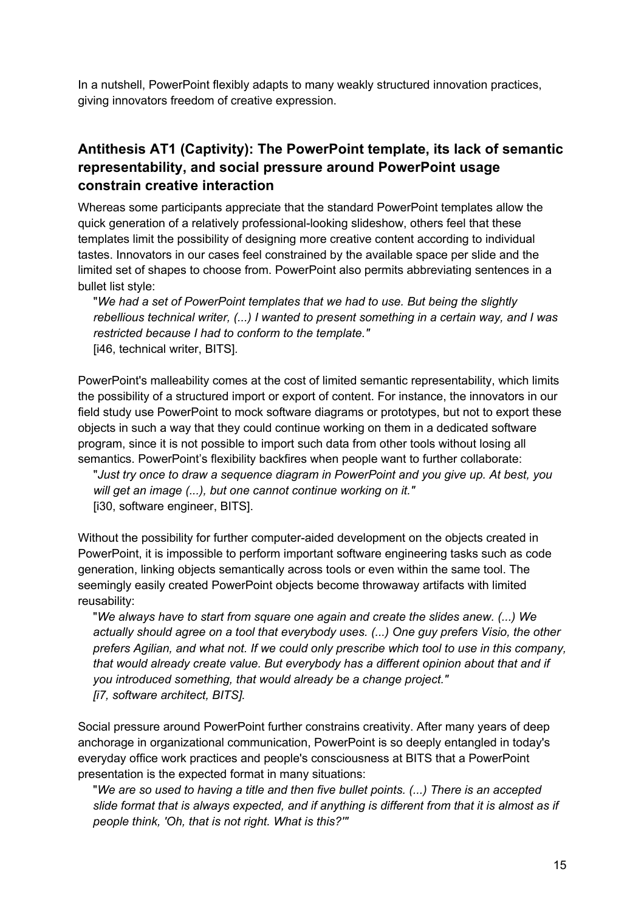In a nutshell, PowerPoint flexibly adapts to many weakly structured innovation practices, giving innovators freedom of creative expression.

#### **Antithesis AT1 (Captivity): The PowerPoint template, its lack of semantic representability, and social pressure around PowerPoint usage constrain creative interaction**

Whereas some participants appreciate that the standard PowerPoint templates allow the quick generation of a relatively professional-looking slideshow, others feel that these templates limit the possibility of designing more creative content according to individual tastes. Innovators in our cases feel constrained by the available space per slide and the limited set of shapes to choose from. PowerPoint also permits abbreviating sentences in a bullet list style:

"*We had a set of PowerPoint templates that we had to use. But being the slightly rebellious technical writer, (...) I wanted to present something in a certain way, and I was restricted because I had to conform to the template."*  [i46, technical writer, BITS]*.*

PowerPoint's malleability comes at the cost of limited semantic representability, which limits the possibility of a structured import or export of content. For instance, the innovators in our field study use PowerPoint to mock software diagrams or prototypes, but not to export these objects in such a way that they could continue working on them in a dedicated software program, since it is not possible to import such data from other tools without losing all semantics. PowerPoint's flexibility backfires when people want to further collaborate:

"*Just try once to draw a sequence diagram in PowerPoint and you give up. At best, you will get an image (...), but one cannot continue working on it."*  [i30, software engineer, BITS].

Without the possibility for further computer-aided development on the objects created in PowerPoint, it is impossible to perform important software engineering tasks such as code generation, linking objects semantically across tools or even within the same tool. The seemingly easily created PowerPoint objects become throwaway artifacts with limited reusability:

"*We always have to start from square one again and create the slides anew. (...) We actually should agree on a tool that everybody uses. (...) One guy prefers Visio, the other prefers Agilian, and what not. If we could only prescribe which tool to use in this company, that would already create value. But everybody has a different opinion about that and if you introduced something, that would already be a change project." [i7, software architect, BITS].*

Social pressure around PowerPoint further constrains creativity. After many years of deep anchorage in organizational communication, PowerPoint is so deeply entangled in today's everyday office work practices and people's consciousness at BITS that a PowerPoint presentation is the expected format in many situations:

"*We are so used to having a title and then five bullet points. (...) There is an accepted slide format that is always expected, and if anything is different from that it is almost as if people think, 'Oh, that is not right. What is this?'"*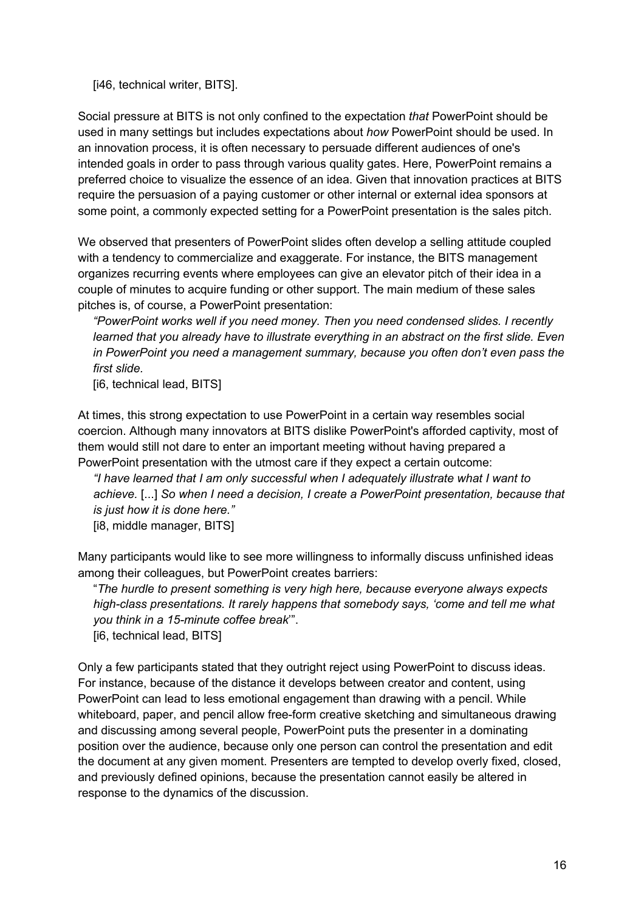[i46, technical writer, BITS].

Social pressure at BITS is not only confined to the expectation *that* PowerPoint should be used in many settings but includes expectations about *how* PowerPoint should be used. In an innovation process, it is often necessary to persuade different audiences of one's intended goals in order to pass through various quality gates. Here, PowerPoint remains a preferred choice to visualize the essence of an idea. Given that innovation practices at BITS require the persuasion of a paying customer or other internal or external idea sponsors at some point, a commonly expected setting for a PowerPoint presentation is the sales pitch.

We observed that presenters of PowerPoint slides often develop a selling attitude coupled with a tendency to commercialize and exaggerate. For instance, the BITS management organizes recurring events where employees can give an elevator pitch of their idea in a couple of minutes to acquire funding or other support. The main medium of these sales pitches is, of course, a PowerPoint presentation:

*"PowerPoint works well if you need money. Then you need condensed slides. I recently learned that you already have to illustrate everything in an abstract on the first slide. Even in PowerPoint you need a management summary, because you often don't even pass the first slide.*

[i6, technical lead, BITS]

At times, this strong expectation to use PowerPoint in a certain way resembles social coercion. Although many innovators at BITS dislike PowerPoint's afforded captivity, most of them would still not dare to enter an important meeting without having prepared a PowerPoint presentation with the utmost care if they expect a certain outcome:

*"I have learned that I am only successful when I adequately illustrate what I want to achieve.* [...] *So when I need a decision, I create a PowerPoint presentation, because that is just how it is done here."* 

[i8, middle manager, BITS]

Many participants would like to see more willingness to informally discuss unfinished ideas among their colleagues, but PowerPoint creates barriers:

"*The hurdle to present something is very high here, because everyone always expects high-class presentations. It rarely happens that somebody says, 'come and tell me what you think in a 15-minute coffee break*'".

[i6, technical lead, BITS]

Only a few participants stated that they outright reject using PowerPoint to discuss ideas. For instance, because of the distance it develops between creator and content, using PowerPoint can lead to less emotional engagement than drawing with a pencil. While whiteboard, paper, and pencil allow free-form creative sketching and simultaneous drawing and discussing among several people, PowerPoint puts the presenter in a dominating position over the audience, because only one person can control the presentation and edit the document at any given moment. Presenters are tempted to develop overly fixed, closed, and previously defined opinions, because the presentation cannot easily be altered in response to the dynamics of the discussion.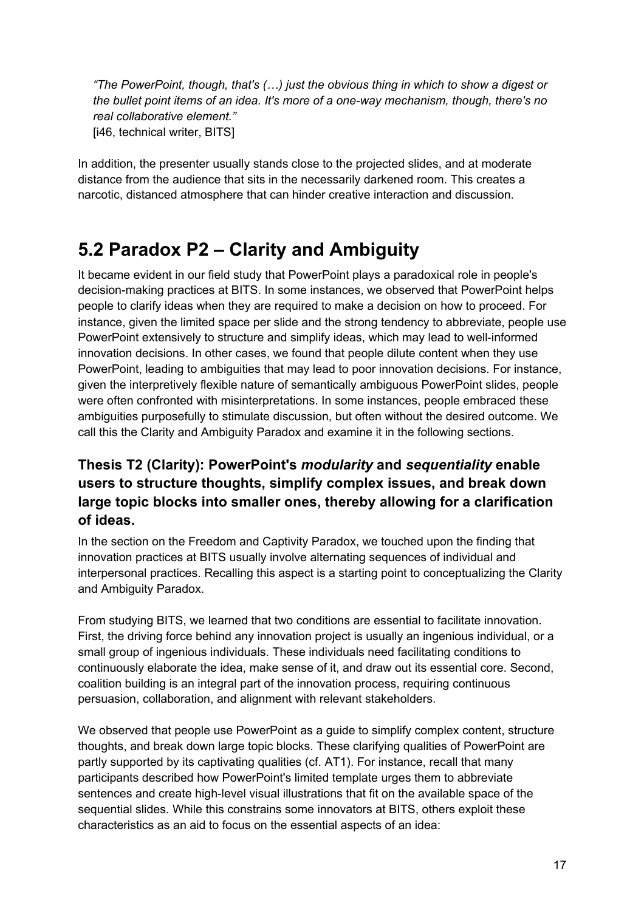*"The PowerPoint, though, that's (…) just the obvious thing in which to show a digest or the bullet point items of an idea. It's more of a one-way mechanism, though, there's no real collaborative element."*  [i46, technical writer, BITS]

In addition, the presenter usually stands close to the projected slides, and at moderate distance from the audience that sits in the necessarily darkened room. This creates a narcotic, distanced atmosphere that can hinder creative interaction and discussion.

### **5.2 Paradox P2 – Clarity and Ambiguity**

It became evident in our field study that PowerPoint plays a paradoxical role in people's decision-making practices at BITS. In some instances, we observed that PowerPoint helps people to clarify ideas when they are required to make a decision on how to proceed. For instance, given the limited space per slide and the strong tendency to abbreviate, people use PowerPoint extensively to structure and simplify ideas, which may lead to well-informed innovation decisions. In other cases, we found that people dilute content when they use PowerPoint, leading to ambiguities that may lead to poor innovation decisions. For instance, given the interpretively flexible nature of semantically ambiguous PowerPoint slides, people were often confronted with misinterpretations. In some instances, people embraced these ambiguities purposefully to stimulate discussion, but often without the desired outcome. We call this the Clarity and Ambiguity Paradox and examine it in the following sections.

#### **Thesis T2 (Clarity): PowerPoint's** *modularity* **and** *sequentiality* **enable users to structure thoughts, simplify complex issues, and break down large topic blocks into smaller ones, thereby allowing for a clarification of ideas.**

In the section on the Freedom and Captivity Paradox, we touched upon the finding that innovation practices at BITS usually involve alternating sequences of individual and interpersonal practices. Recalling this aspect is a starting point to conceptualizing the Clarity and Ambiguity Paradox.

From studying BITS, we learned that two conditions are essential to facilitate innovation. First, the driving force behind any innovation project is usually an ingenious individual, or a small group of ingenious individuals. These individuals need facilitating conditions to continuously elaborate the idea, make sense of it, and draw out its essential core. Second, coalition building is an integral part of the innovation process, requiring continuous persuasion, collaboration, and alignment with relevant stakeholders.

We observed that people use PowerPoint as a guide to simplify complex content, structure thoughts, and break down large topic blocks. These clarifying qualities of PowerPoint are partly supported by its captivating qualities (cf. AT1). For instance, recall that many participants described how PowerPoint's limited template urges them to abbreviate sentences and create high-level visual illustrations that fit on the available space of the sequential slides. While this constrains some innovators at BITS, others exploit these characteristics as an aid to focus on the essential aspects of an idea: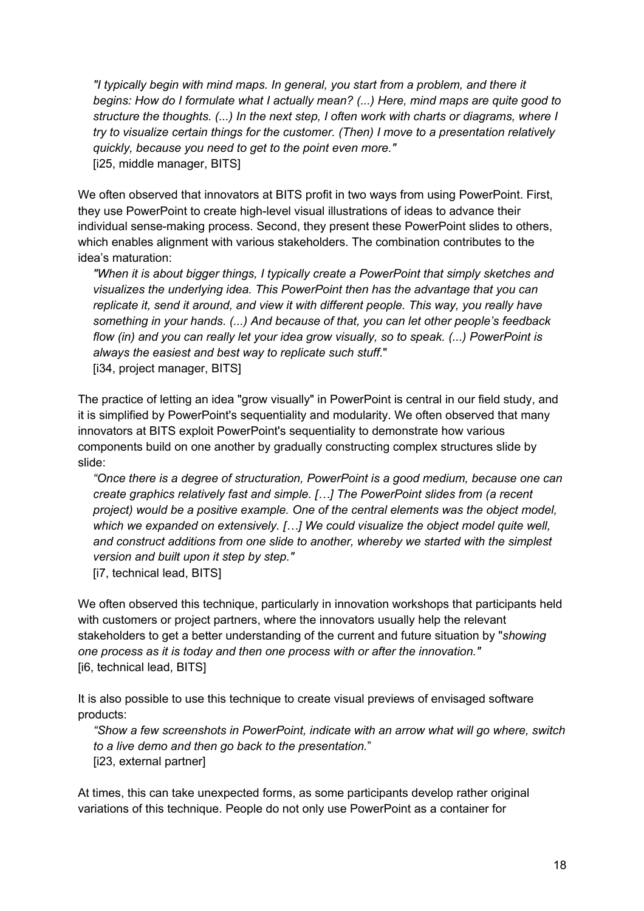*"I typically begin with mind maps. In general, you start from a problem, and there it begins: How do I formulate what I actually mean? (...) Here, mind maps are quite good to structure the thoughts. (...) In the next step, I often work with charts or diagrams, where I try to visualize certain things for the customer. (Then) I move to a presentation relatively quickly, because you need to get to the point even more."* [i25, middle manager, BITS]

We often observed that innovators at BITS profit in two ways from using PowerPoint. First, they use PowerPoint to create high-level visual illustrations of ideas to advance their individual sense-making process. Second, they present these PowerPoint slides to others, which enables alignment with various stakeholders. The combination contributes to the idea's maturation:

*"When it is about bigger things, I typically create a PowerPoint that simply sketches and visualizes the underlying idea. This PowerPoint then has the advantage that you can replicate it, send it around, and view it with different people. This way, you really have something in your hands. (...) And because of that, you can let other people's feedback flow (in) and you can really let your idea grow visually, so to speak. (...) PowerPoint is always the easiest and best way to replicate such stuff.*" [i34, project manager, BITS]

The practice of letting an idea "grow visually" in PowerPoint is central in our field study, and it is simplified by PowerPoint's sequentiality and modularity. We often observed that many innovators at BITS exploit PowerPoint's sequentiality to demonstrate how various components build on one another by gradually constructing complex structures slide by slide:

*"Once there is a degree of structuration, PowerPoint is a good medium, because one can create graphics relatively fast and simple. […] The PowerPoint slides from (a recent project) would be a positive example. One of the central elements was the object model, which we expanded on extensively. […] We could visualize the object model quite well, and construct additions from one slide to another, whereby we started with the simplest version and built upon it step by step."* 

[i7, technical lead, BITS]

We often observed this technique, particularly in innovation workshops that participants held with customers or project partners, where the innovators usually help the relevant stakeholders to get a better understanding of the current and future situation by "*showing one process as it is today and then one process with or after the innovation."*  [i6, technical lead, BITS]

It is also possible to use this technique to create visual previews of envisaged software products:

*"Show a few screenshots in PowerPoint, indicate with an arrow what will go where, switch to a live demo and then go back to the presentation.*" [i23, external partner]

At times, this can take unexpected forms, as some participants develop rather original variations of this technique. People do not only use PowerPoint as a container for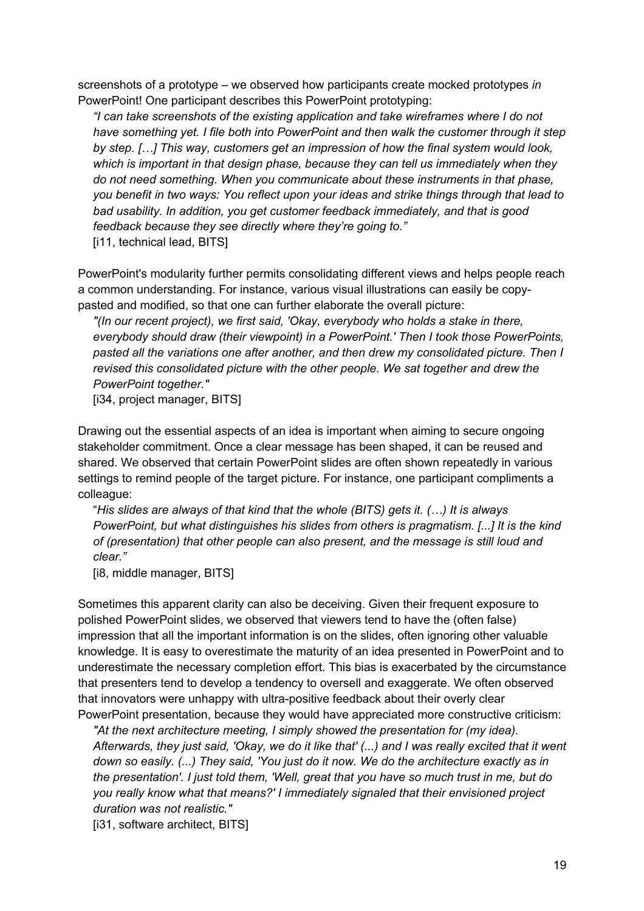screenshots of a prototype – we observed how participants create mocked prototypes *in* PowerPoint! One participant describes this PowerPoint prototyping:

*"I can take screenshots of the existing application and take wireframes where I do not have something yet. I file both into PowerPoint and then walk the customer through it step by step. […] This way, customers get an impression of how the final system would look, which is important in that design phase, because they can tell us immediately when they do not need something. When you communicate about these instruments in that phase, you benefit in two ways: You reflect upon your ideas and strike things through that lead to bad usability. In addition, you get customer feedback immediately, and that is good feedback because they see directly where they're going to."* [i11, technical lead, BITS]

PowerPoint's modularity further permits consolidating different views and helps people reach a common understanding. For instance, various visual illustrations can easily be copypasted and modified, so that one can further elaborate the overall picture:

*"(In our recent project), we first said, 'Okay, everybody who holds a stake in there, everybody should draw (their viewpoint) in a PowerPoint.' Then I took those PowerPoints, pasted all the variations one after another, and then drew my consolidated picture. Then I revised this consolidated picture with the other people. We sat together and drew the PowerPoint together."*

[i34, project manager, BITS]

Drawing out the essential aspects of an idea is important when aiming to secure ongoing stakeholder commitment. Once a clear message has been shaped, it can be reused and shared. We observed that certain PowerPoint slides are often shown repeatedly in various settings to remind people of the target picture. For instance, one participant compliments a colleague:

"*His slides are always of that kind that the whole (BITS) gets it. (…) It is always PowerPoint, but what distinguishes his slides from others is pragmatism. [...] It is the kind of (presentation) that other people can also present, and the message is still loud and clear."* 

[i8, middle manager, BITS]

Sometimes this apparent clarity can also be deceiving. Given their frequent exposure to polished PowerPoint slides, we observed that viewers tend to have the (often false) impression that all the important information is on the slides, often ignoring other valuable knowledge. It is easy to overestimate the maturity of an idea presented in PowerPoint and to underestimate the necessary completion effort. This bias is exacerbated by the circumstance that presenters tend to develop a tendency to oversell and exaggerate. We often observed that innovators were unhappy with ultra-positive feedback about their overly clear PowerPoint presentation, because they would have appreciated more constructive criticism:

*"At the next architecture meeting, I simply showed the presentation for (my idea). Afterwards, they just said, 'Okay, we do it like that' (...) and I was really excited that it went down so easily. (...) They said, 'You just do it now. We do the architecture exactly as in the presentation'. I just told them, 'Well, great that you have so much trust in me, but do you really know what that means?' I immediately signaled that their envisioned project duration was not realistic."*

[i31, software architect, BITS]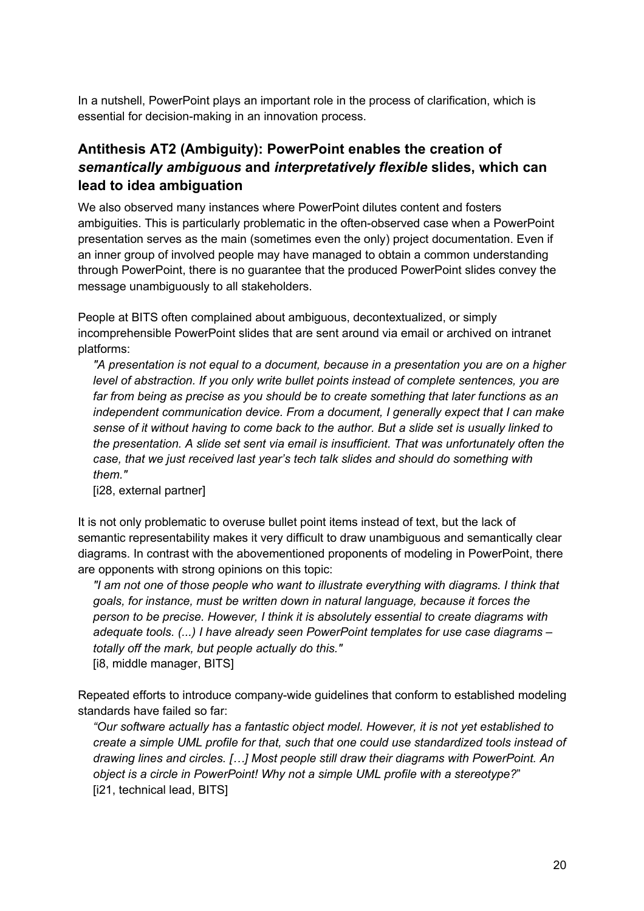In a nutshell, PowerPoint plays an important role in the process of clarification, which is essential for decision-making in an innovation process.

#### **Antithesis AT2 (Ambiguity): PowerPoint enables the creation of**  *semantically ambiguous* **and** *interpretatively flexible* **slides, which can lead to idea ambiguation**

We also observed many instances where PowerPoint dilutes content and fosters ambiguities. This is particularly problematic in the often-observed case when a PowerPoint presentation serves as the main (sometimes even the only) project documentation. Even if an inner group of involved people may have managed to obtain a common understanding through PowerPoint, there is no guarantee that the produced PowerPoint slides convey the message unambiguously to all stakeholders.

People at BITS often complained about ambiguous, decontextualized, or simply incomprehensible PowerPoint slides that are sent around via email or archived on intranet platforms:

*"A presentation is not equal to a document, because in a presentation you are on a higher level of abstraction. If you only write bullet points instead of complete sentences, you are far from being as precise as you should be to create something that later functions as an independent communication device. From a document, I generally expect that I can make sense of it without having to come back to the author. But a slide set is usually linked to the presentation. A slide set sent via email is insufficient. That was unfortunately often the case, that we just received last year's tech talk slides and should do something with them."* 

[i28, external partner]

It is not only problematic to overuse bullet point items instead of text, but the lack of semantic representability makes it very difficult to draw unambiguous and semantically clear diagrams. In contrast with the abovementioned proponents of modeling in PowerPoint, there are opponents with strong opinions on this topic:

*"I am not one of those people who want to illustrate everything with diagrams. I think that goals, for instance, must be written down in natural language, because it forces the person to be precise. However, I think it is absolutely essential to create diagrams with adequate tools. (...) I have already seen PowerPoint templates for use case diagrams – totally off the mark, but people actually do this."* [i8, middle manager, BITS]

Repeated efforts to introduce company-wide guidelines that conform to established modeling standards have failed so far:

*"Our software actually has a fantastic object model. However, it is not yet established to create a simple UML profile for that, such that one could use standardized tools instead of drawing lines and circles. […] Most people still draw their diagrams with PowerPoint. An object is a circle in PowerPoint! Why not a simple UML profile with a stereotype?*" [i21, technical lead, BITS]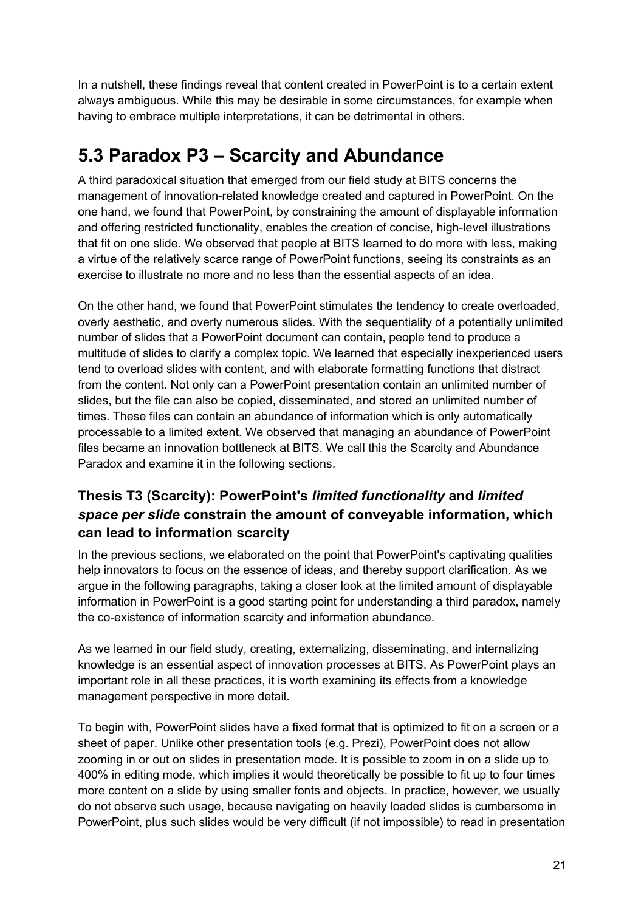In a nutshell, these findings reveal that content created in PowerPoint is to a certain extent always ambiguous. While this may be desirable in some circumstances, for example when having to embrace multiple interpretations, it can be detrimental in others.

## **5.3 Paradox P3 – Scarcity and Abundance**

A third paradoxical situation that emerged from our field study at BITS concerns the management of innovation-related knowledge created and captured in PowerPoint. On the one hand, we found that PowerPoint, by constraining the amount of displayable information and offering restricted functionality, enables the creation of concise, high-level illustrations that fit on one slide. We observed that people at BITS learned to do more with less, making a virtue of the relatively scarce range of PowerPoint functions, seeing its constraints as an exercise to illustrate no more and no less than the essential aspects of an idea.

On the other hand, we found that PowerPoint stimulates the tendency to create overloaded, overly aesthetic, and overly numerous slides. With the sequentiality of a potentially unlimited number of slides that a PowerPoint document can contain, people tend to produce a multitude of slides to clarify a complex topic. We learned that especially inexperienced users tend to overload slides with content, and with elaborate formatting functions that distract from the content. Not only can a PowerPoint presentation contain an unlimited number of slides, but the file can also be copied, disseminated, and stored an unlimited number of times. These files can contain an abundance of information which is only automatically processable to a limited extent. We observed that managing an abundance of PowerPoint files became an innovation bottleneck at BITS. We call this the Scarcity and Abundance Paradox and examine it in the following sections.

#### **Thesis T3 (Scarcity): PowerPoint's** *limited functionality* **and** *limited space per slide* **constrain the amount of conveyable information, which can lead to information scarcity**

In the previous sections, we elaborated on the point that PowerPoint's captivating qualities help innovators to focus on the essence of ideas, and thereby support clarification. As we argue in the following paragraphs, taking a closer look at the limited amount of displayable information in PowerPoint is a good starting point for understanding a third paradox, namely the co-existence of information scarcity and information abundance.

As we learned in our field study, creating, externalizing, disseminating, and internalizing knowledge is an essential aspect of innovation processes at BITS. As PowerPoint plays an important role in all these practices, it is worth examining its effects from a knowledge management perspective in more detail.

To begin with, PowerPoint slides have a fixed format that is optimized to fit on a screen or a sheet of paper. Unlike other presentation tools (e.g. Prezi), PowerPoint does not allow zooming in or out on slides in presentation mode. It is possible to zoom in on a slide up to 400% in editing mode, which implies it would theoretically be possible to fit up to four times more content on a slide by using smaller fonts and objects. In practice, however, we usually do not observe such usage, because navigating on heavily loaded slides is cumbersome in PowerPoint, plus such slides would be very difficult (if not impossible) to read in presentation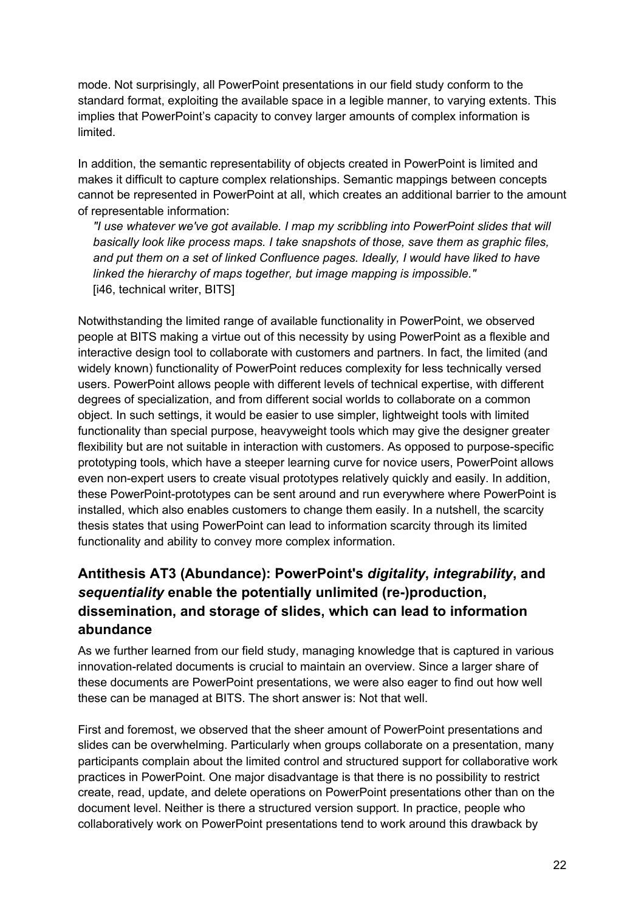mode. Not surprisingly, all PowerPoint presentations in our field study conform to the standard format, exploiting the available space in a legible manner, to varying extents. This implies that PowerPoint's capacity to convey larger amounts of complex information is limited.

In addition, the semantic representability of objects created in PowerPoint is limited and makes it difficult to capture complex relationships. Semantic mappings between concepts cannot be represented in PowerPoint at all, which creates an additional barrier to the amount of representable information:

*"I use whatever we've got available. I map my scribbling into PowerPoint slides that will basically look like process maps. I take snapshots of those, save them as graphic files, and put them on a set of linked Confluence pages. Ideally, I would have liked to have linked the hierarchy of maps together, but image mapping is impossible."* [i46, technical writer, BITS]

Notwithstanding the limited range of available functionality in PowerPoint, we observed people at BITS making a virtue out of this necessity by using PowerPoint as a flexible and interactive design tool to collaborate with customers and partners. In fact, the limited (and widely known) functionality of PowerPoint reduces complexity for less technically versed users. PowerPoint allows people with different levels of technical expertise, with different degrees of specialization, and from different social worlds to collaborate on a common object. In such settings, it would be easier to use simpler, lightweight tools with limited functionality than special purpose, heavyweight tools which may give the designer greater flexibility but are not suitable in interaction with customers. As opposed to purpose-specific prototyping tools, which have a steeper learning curve for novice users, PowerPoint allows even non-expert users to create visual prototypes relatively quickly and easily. In addition, these PowerPoint-prototypes can be sent around and run everywhere where PowerPoint is installed, which also enables customers to change them easily. In a nutshell, the scarcity thesis states that using PowerPoint can lead to information scarcity through its limited functionality and ability to convey more complex information.

#### **Antithesis AT3 (Abundance): PowerPoint's** *digitality***,** *integrability***, and**  *sequentiality* **enable the potentially unlimited (re-)production, dissemination, and storage of slides, which can lead to information abundance**

As we further learned from our field study, managing knowledge that is captured in various innovation-related documents is crucial to maintain an overview. Since a larger share of these documents are PowerPoint presentations, we were also eager to find out how well these can be managed at BITS. The short answer is: Not that well.

First and foremost, we observed that the sheer amount of PowerPoint presentations and slides can be overwhelming. Particularly when groups collaborate on a presentation, many participants complain about the limited control and structured support for collaborative work practices in PowerPoint. One major disadvantage is that there is no possibility to restrict create, read, update, and delete operations on PowerPoint presentations other than on the document level. Neither is there a structured version support. In practice, people who collaboratively work on PowerPoint presentations tend to work around this drawback by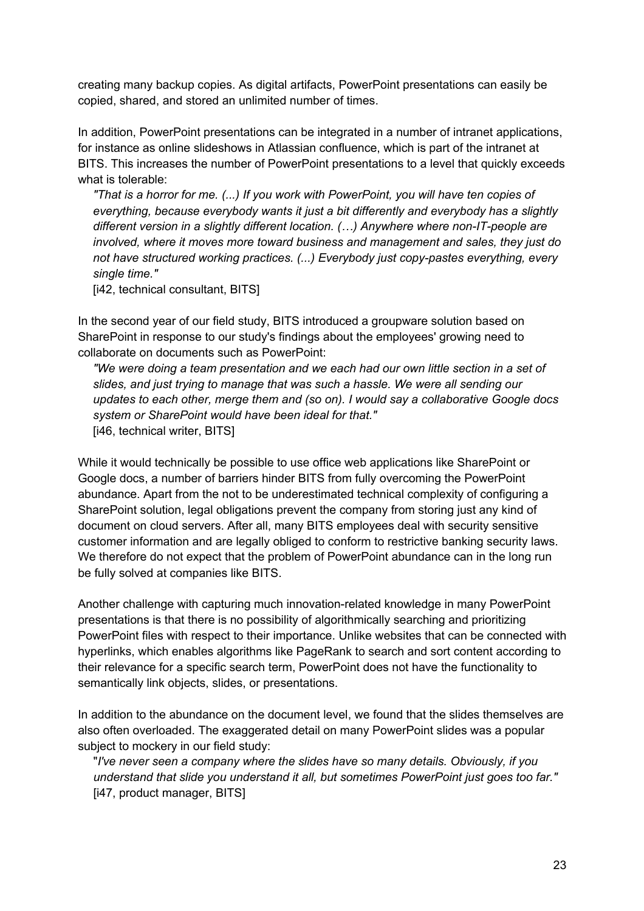creating many backup copies. As digital artifacts, PowerPoint presentations can easily be copied, shared, and stored an unlimited number of times.

In addition, PowerPoint presentations can be integrated in a number of intranet applications, for instance as online slideshows in Atlassian confluence, which is part of the intranet at BITS. This increases the number of PowerPoint presentations to a level that quickly exceeds what is tolerable:

*"That is a horror for me. (...) If you work with PowerPoint, you will have ten copies of everything, because everybody wants it just a bit differently and everybody has a slightly different version in a slightly different location. (…) Anywhere where non-IT-people are involved, where it moves more toward business and management and sales, they just do not have structured working practices. (...) Everybody just copy-pastes everything, every single time."*

[i42, technical consultant, BITS]

In the second year of our field study, BITS introduced a groupware solution based on SharePoint in response to our study's findings about the employees' growing need to collaborate on documents such as PowerPoint:

*"We were doing a team presentation and we each had our own little section in a set of slides, and just trying to manage that was such a hassle. We were all sending our updates to each other, merge them and (so on). I would say a collaborative Google docs system or SharePoint would have been ideal for that."* [i46, technical writer, BITS]

While it would technically be possible to use office web applications like SharePoint or Google docs, a number of barriers hinder BITS from fully overcoming the PowerPoint abundance. Apart from the not to be underestimated technical complexity of configuring a SharePoint solution, legal obligations prevent the company from storing just any kind of document on cloud servers. After all, many BITS employees deal with security sensitive customer information and are legally obliged to conform to restrictive banking security laws. We therefore do not expect that the problem of PowerPoint abundance can in the long run be fully solved at companies like BITS.

Another challenge with capturing much innovation-related knowledge in many PowerPoint presentations is that there is no possibility of algorithmically searching and prioritizing PowerPoint files with respect to their importance. Unlike websites that can be connected with hyperlinks, which enables algorithms like PageRank to search and sort content according to their relevance for a specific search term, PowerPoint does not have the functionality to semantically link objects, slides, or presentations.

In addition to the abundance on the document level, we found that the slides themselves are also often overloaded. The exaggerated detail on many PowerPoint slides was a popular subject to mockery in our field study:

"*I've never seen a company where the slides have so many details. Obviously, if you understand that slide you understand it all, but sometimes PowerPoint just goes too far."* [i47, product manager, BITS]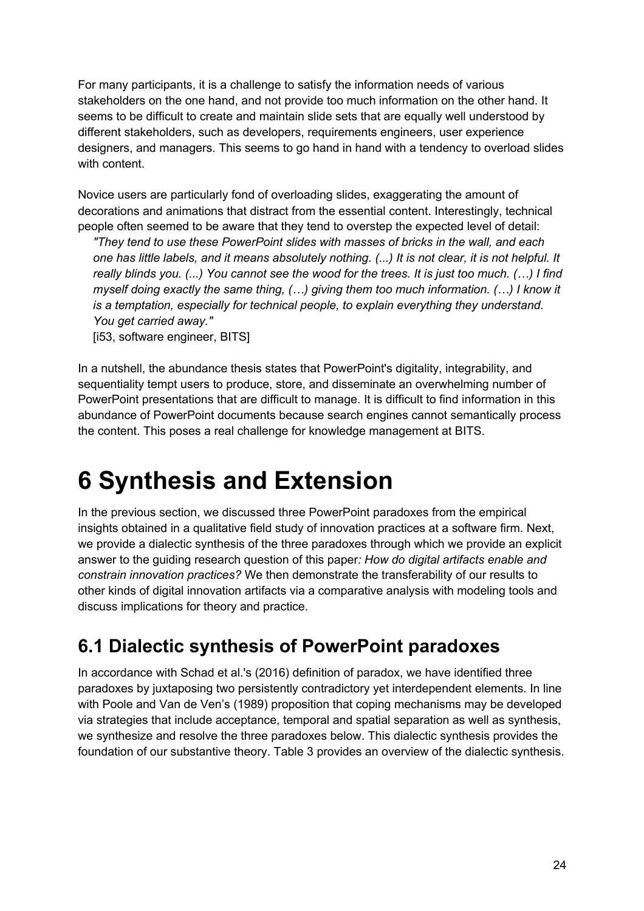For many participants, it is a challenge to satisfy the information needs of various stakeholders on the one hand, and not provide too much information on the other hand. It seems to be difficult to create and maintain slide sets that are equally well understood by different stakeholders, such as developers, requirements engineers, user experience designers, and managers. This seems to go hand in hand with a tendency to overload slides with content

Novice users are particularly fond of overloading slides, exaggerating the amount of decorations and animations that distract from the essential content. Interestingly, technical people often seemed to be aware that they tend to overstep the expected level of detail:

*"They tend to use these PowerPoint slides with masses of bricks in the wall, and each one has little labels, and it means absolutely nothing. (...) It is not clear, it is not helpful. It really blinds you. (...) You cannot see the wood for the trees. It is just too much. (…) I find myself doing exactly the same thing, (…) giving them too much information. (…) I know it is a temptation, especially for technical people, to explain everything they understand. You get carried away."*

[i53, software engineer, BITS]

In a nutshell, the abundance thesis states that PowerPoint's digitality, integrability, and sequentiality tempt users to produce, store, and disseminate an overwhelming number of PowerPoint presentations that are difficult to manage. It is difficult to find information in this abundance of PowerPoint documents because search engines cannot semantically process the content. This poses a real challenge for knowledge management at BITS.

# **6 Synthesis and Extension**

In the previous section, we discussed three PowerPoint paradoxes from the empirical insights obtained in a qualitative field study of innovation practices at a software firm. Next, we provide a dialectic synthesis of the three paradoxes through which we provide an explicit answer to the guiding research question of this paper*: How do digital artifacts enable and constrain innovation practices?* We then demonstrate the transferability of our results to other kinds of digital innovation artifacts via a comparative analysis with modeling tools and discuss implications for theory and practice.

### **6.1 Dialectic synthesis of PowerPoint paradoxes**

In accordance with Schad et al.'s (2016) definition of paradox, we have identified three paradoxes by juxtaposing two persistently contradictory yet interdependent elements. In line with Poole and Van de Ven's (1989) proposition that coping mechanisms may be developed via strategies that include acceptance, temporal and spatial separation as well as synthesis, we synthesize and resolve the three paradoxes below. This dialectic synthesis provides the foundation of our substantive theory. Table 3 provides an overview of the dialectic synthesis.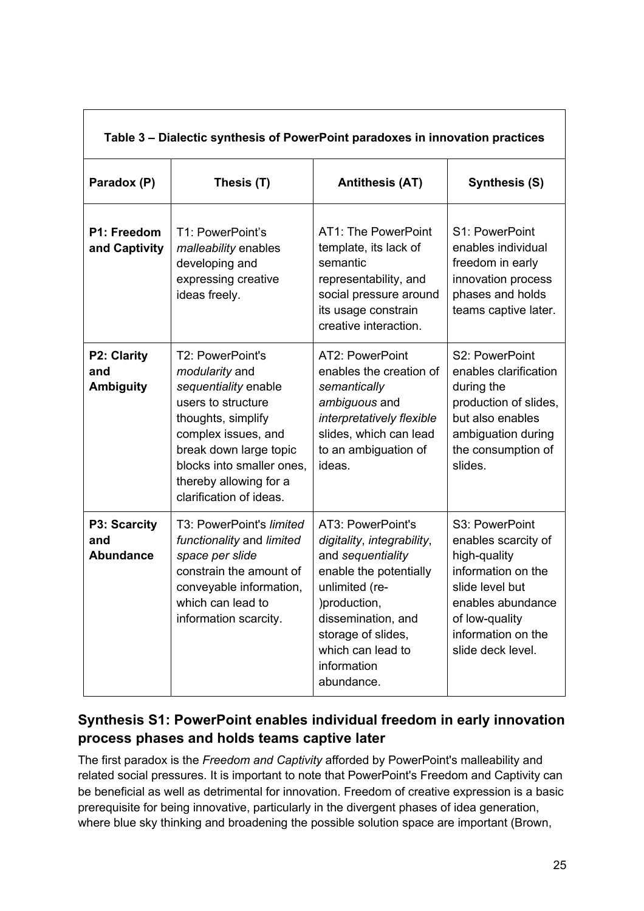| Table 3 – Dialectic synthesis of PowerPoint paradoxes in innovation practices |                                                                                                                                                                                                                                                  |                                                                                                                                                                                                                                |                                                                                                                                                                                  |  |  |
|-------------------------------------------------------------------------------|--------------------------------------------------------------------------------------------------------------------------------------------------------------------------------------------------------------------------------------------------|--------------------------------------------------------------------------------------------------------------------------------------------------------------------------------------------------------------------------------|----------------------------------------------------------------------------------------------------------------------------------------------------------------------------------|--|--|
| Paradox (P)                                                                   | Thesis (T)                                                                                                                                                                                                                                       | <b>Antithesis (AT)</b>                                                                                                                                                                                                         | <b>Synthesis (S)</b>                                                                                                                                                             |  |  |
| P1: Freedom<br>and Captivity                                                  | T1: PowerPoint's<br>malleability enables<br>developing and<br>expressing creative<br>ideas freely.                                                                                                                                               | AT1: The PowerPoint<br>template, its lack of<br>semantic<br>representability, and<br>social pressure around<br>its usage constrain<br>creative interaction.                                                                    | S1: PowerPoint<br>enables individual<br>freedom in early<br>innovation process<br>phases and holds<br>teams captive later.                                                       |  |  |
| <b>P2: Clarity</b><br>and<br><b>Ambiguity</b>                                 | T2: PowerPoint's<br><i>modularity</i> and<br>sequentiality enable<br>users to structure<br>thoughts, simplify<br>complex issues, and<br>break down large topic<br>blocks into smaller ones,<br>thereby allowing for a<br>clarification of ideas. | AT2: PowerPoint<br>enables the creation of<br>semantically<br>ambiguous and<br>interpretatively flexible<br>slides, which can lead<br>to an ambiguation of<br>ideas.                                                           | S2: PowerPoint<br>enables clarification<br>during the<br>production of slides,<br>but also enables<br>ambiguation during<br>the consumption of<br>slides.                        |  |  |
| P3: Scarcity<br>and<br><b>Abundance</b>                                       | T3: PowerPoint's limited<br>functionality and limited<br>space per slide<br>constrain the amount of<br>conveyable information,<br>which can lead to<br>information scarcity.                                                                     | AT3: PowerPoint's<br>digitality, integrability,<br>and sequentiality<br>enable the potentially<br>unlimited (re-<br>)production,<br>dissemination, and<br>storage of slides,<br>which can lead to<br>information<br>abundance. | S3: PowerPoint<br>enables scarcity of<br>high-quality<br>information on the<br>slide level but<br>enables abundance<br>of low-quality<br>information on the<br>slide deck level. |  |  |

#### **Synthesis S1: PowerPoint enables individual freedom in early innovation process phases and holds teams captive later**

The first paradox is the *Freedom and Captivity* afforded by PowerPoint's malleability and related social pressures. It is important to note that PowerPoint's Freedom and Captivity can be beneficial as well as detrimental for innovation. Freedom of creative expression is a basic prerequisite for being innovative, particularly in the divergent phases of idea generation, where blue sky thinking and broadening the possible solution space are important (Brown,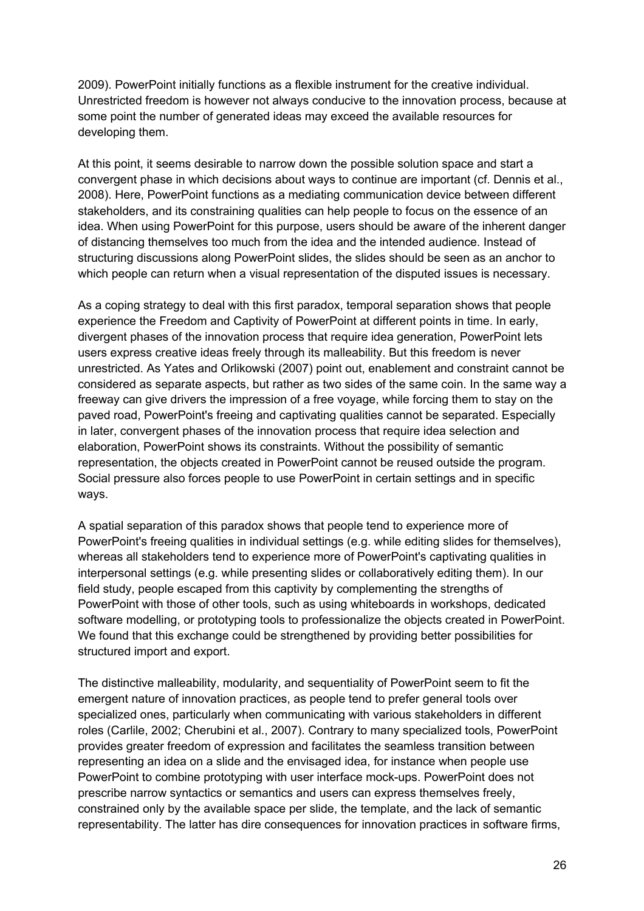2009). PowerPoint initially functions as a flexible instrument for the creative individual. Unrestricted freedom is however not always conducive to the innovation process, because at some point the number of generated ideas may exceed the available resources for developing them.

At this point, it seems desirable to narrow down the possible solution space and start a convergent phase in which decisions about ways to continue are important (cf. Dennis et al., 2008). Here, PowerPoint functions as a mediating communication device between different stakeholders, and its constraining qualities can help people to focus on the essence of an idea. When using PowerPoint for this purpose, users should be aware of the inherent danger of distancing themselves too much from the idea and the intended audience. Instead of structuring discussions along PowerPoint slides, the slides should be seen as an anchor to which people can return when a visual representation of the disputed issues is necessary.

As a coping strategy to deal with this first paradox, temporal separation shows that people experience the Freedom and Captivity of PowerPoint at different points in time. In early, divergent phases of the innovation process that require idea generation, PowerPoint lets users express creative ideas freely through its malleability. But this freedom is never unrestricted. As Yates and Orlikowski (2007) point out, enablement and constraint cannot be considered as separate aspects, but rather as two sides of the same coin. In the same way a freeway can give drivers the impression of a free voyage, while forcing them to stay on the paved road, PowerPoint's freeing and captivating qualities cannot be separated. Especially in later, convergent phases of the innovation process that require idea selection and elaboration, PowerPoint shows its constraints. Without the possibility of semantic representation, the objects created in PowerPoint cannot be reused outside the program. Social pressure also forces people to use PowerPoint in certain settings and in specific ways.

A spatial separation of this paradox shows that people tend to experience more of PowerPoint's freeing qualities in individual settings (e.g. while editing slides for themselves), whereas all stakeholders tend to experience more of PowerPoint's captivating qualities in interpersonal settings (e.g. while presenting slides or collaboratively editing them). In our field study, people escaped from this captivity by complementing the strengths of PowerPoint with those of other tools, such as using whiteboards in workshops, dedicated software modelling, or prototyping tools to professionalize the objects created in PowerPoint. We found that this exchange could be strengthened by providing better possibilities for structured import and export.

The distinctive malleability, modularity, and sequentiality of PowerPoint seem to fit the emergent nature of innovation practices, as people tend to prefer general tools over specialized ones, particularly when communicating with various stakeholders in different roles (Carlile, 2002; Cherubini et al., 2007). Contrary to many specialized tools, PowerPoint provides greater freedom of expression and facilitates the seamless transition between representing an idea on a slide and the envisaged idea, for instance when people use PowerPoint to combine prototyping with user interface mock-ups. PowerPoint does not prescribe narrow syntactics or semantics and users can express themselves freely, constrained only by the available space per slide, the template, and the lack of semantic representability. The latter has dire consequences for innovation practices in software firms,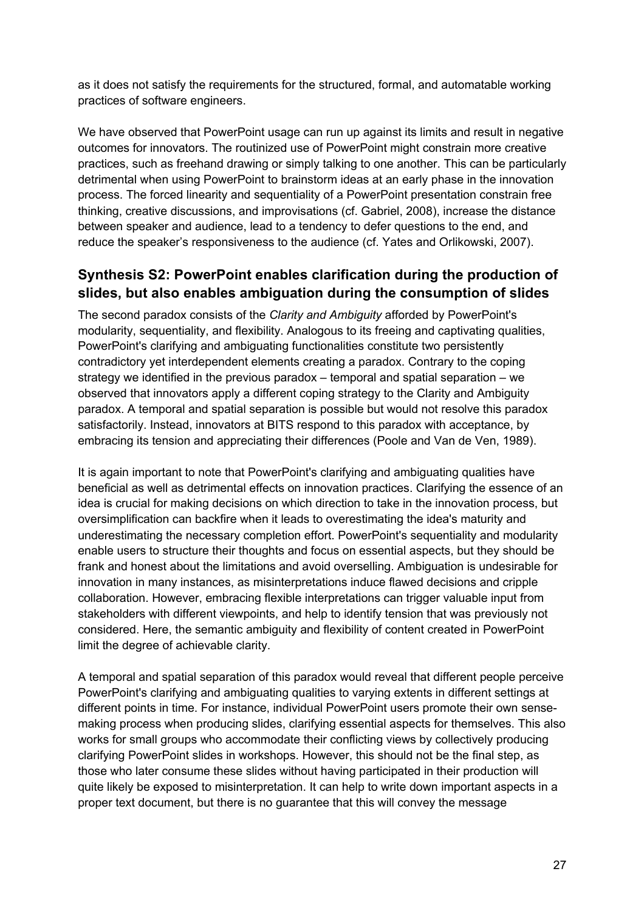as it does not satisfy the requirements for the structured, formal, and automatable working practices of software engineers.

We have observed that PowerPoint usage can run up against its limits and result in negative outcomes for innovators. The routinized use of PowerPoint might constrain more creative practices, such as freehand drawing or simply talking to one another. This can be particularly detrimental when using PowerPoint to brainstorm ideas at an early phase in the innovation process. The forced linearity and sequentiality of a PowerPoint presentation constrain free thinking, creative discussions, and improvisations (cf. Gabriel, 2008), increase the distance between speaker and audience, lead to a tendency to defer questions to the end, and reduce the speaker's responsiveness to the audience (cf. Yates and Orlikowski, 2007).

#### **Synthesis S2: PowerPoint enables clarification during the production of slides, but also enables ambiguation during the consumption of slides**

The second paradox consists of the *Clarity and Ambiguity* afforded by PowerPoint's modularity, sequentiality, and flexibility. Analogous to its freeing and captivating qualities, PowerPoint's clarifying and ambiguating functionalities constitute two persistently contradictory yet interdependent elements creating a paradox. Contrary to the coping strategy we identified in the previous paradox – temporal and spatial separation – we observed that innovators apply a different coping strategy to the Clarity and Ambiguity paradox. A temporal and spatial separation is possible but would not resolve this paradox satisfactorily. Instead, innovators at BITS respond to this paradox with acceptance, by embracing its tension and appreciating their differences (Poole and Van de Ven, 1989).

It is again important to note that PowerPoint's clarifying and ambiguating qualities have beneficial as well as detrimental effects on innovation practices. Clarifying the essence of an idea is crucial for making decisions on which direction to take in the innovation process, but oversimplification can backfire when it leads to overestimating the idea's maturity and underestimating the necessary completion effort. PowerPoint's sequentiality and modularity enable users to structure their thoughts and focus on essential aspects, but they should be frank and honest about the limitations and avoid overselling. Ambiguation is undesirable for innovation in many instances, as misinterpretations induce flawed decisions and cripple collaboration. However, embracing flexible interpretations can trigger valuable input from stakeholders with different viewpoints, and help to identify tension that was previously not considered. Here, the semantic ambiguity and flexibility of content created in PowerPoint limit the degree of achievable clarity.

A temporal and spatial separation of this paradox would reveal that different people perceive PowerPoint's clarifying and ambiguating qualities to varying extents in different settings at different points in time. For instance, individual PowerPoint users promote their own sensemaking process when producing slides, clarifying essential aspects for themselves. This also works for small groups who accommodate their conflicting views by collectively producing clarifying PowerPoint slides in workshops. However, this should not be the final step, as those who later consume these slides without having participated in their production will quite likely be exposed to misinterpretation. It can help to write down important aspects in a proper text document, but there is no guarantee that this will convey the message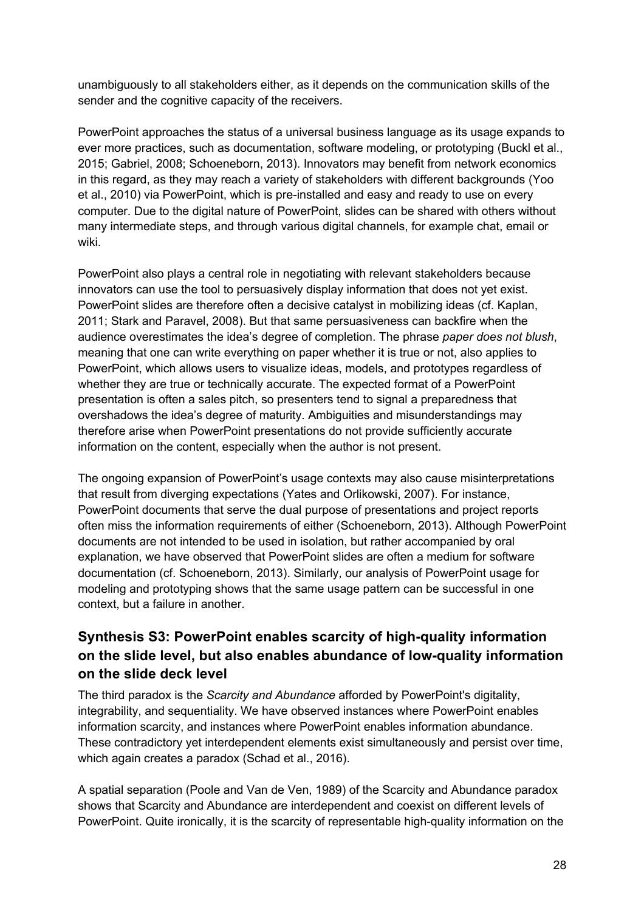unambiguously to all stakeholders either, as it depends on the communication skills of the sender and the cognitive capacity of the receivers.

PowerPoint approaches the status of a universal business language as its usage expands to ever more practices, such as documentation, software modeling, or prototyping (Buckl et al., 2015; Gabriel, 2008; Schoeneborn, 2013). Innovators may benefit from network economics in this regard, as they may reach a variety of stakeholders with different backgrounds (Yoo et al., 2010) via PowerPoint, which is pre-installed and easy and ready to use on every computer. Due to the digital nature of PowerPoint, slides can be shared with others without many intermediate steps, and through various digital channels, for example chat, email or wiki.

PowerPoint also plays a central role in negotiating with relevant stakeholders because innovators can use the tool to persuasively display information that does not yet exist. PowerPoint slides are therefore often a decisive catalyst in mobilizing ideas (cf. Kaplan, 2011; Stark and Paravel, 2008). But that same persuasiveness can backfire when the audience overestimates the idea's degree of completion. The phrase *paper does not blush*, meaning that one can write everything on paper whether it is true or not, also applies to PowerPoint, which allows users to visualize ideas, models, and prototypes regardless of whether they are true or technically accurate. The expected format of a PowerPoint presentation is often a sales pitch, so presenters tend to signal a preparedness that overshadows the idea's degree of maturity. Ambiguities and misunderstandings may therefore arise when PowerPoint presentations do not provide sufficiently accurate information on the content, especially when the author is not present.

The ongoing expansion of PowerPoint's usage contexts may also cause misinterpretations that result from diverging expectations (Yates and Orlikowski, 2007). For instance, PowerPoint documents that serve the dual purpose of presentations and project reports often miss the information requirements of either (Schoeneborn, 2013). Although PowerPoint documents are not intended to be used in isolation, but rather accompanied by oral explanation, we have observed that PowerPoint slides are often a medium for software documentation (cf. Schoeneborn, 2013). Similarly, our analysis of PowerPoint usage for modeling and prototyping shows that the same usage pattern can be successful in one context, but a failure in another.

#### **Synthesis S3: PowerPoint enables scarcity of high-quality information on the slide level, but also enables abundance of low-quality information on the slide deck level**

The third paradox is the *Scarcity and Abundance* afforded by PowerPoint's digitality, integrability, and sequentiality. We have observed instances where PowerPoint enables information scarcity, and instances where PowerPoint enables information abundance. These contradictory yet interdependent elements exist simultaneously and persist over time, which again creates a paradox (Schad et al., 2016).

A spatial separation (Poole and Van de Ven, 1989) of the Scarcity and Abundance paradox shows that Scarcity and Abundance are interdependent and coexist on different levels of PowerPoint. Quite ironically, it is the scarcity of representable high-quality information on the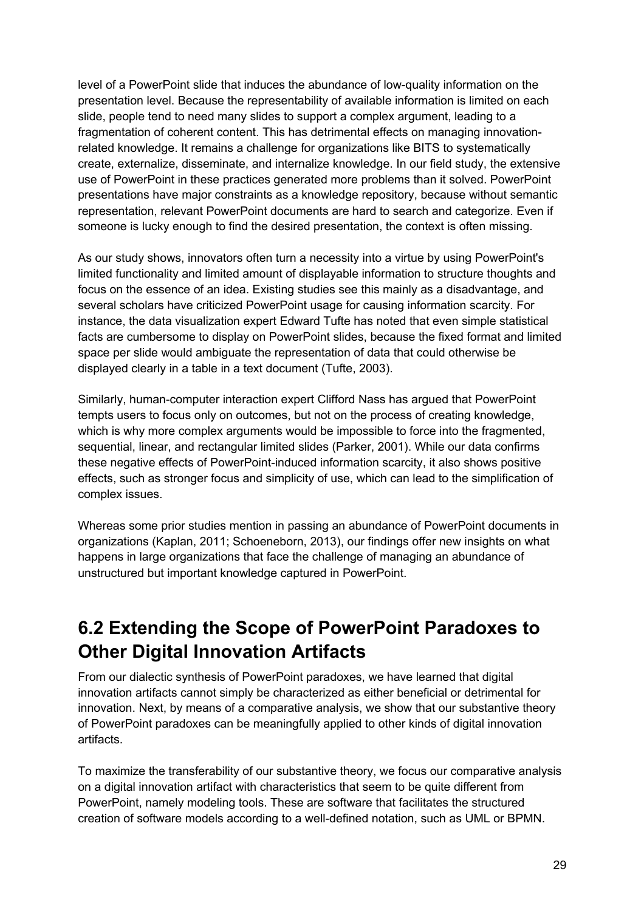level of a PowerPoint slide that induces the abundance of low-quality information on the presentation level. Because the representability of available information is limited on each slide, people tend to need many slides to support a complex argument, leading to a fragmentation of coherent content. This has detrimental effects on managing innovationrelated knowledge. It remains a challenge for organizations like BITS to systematically create, externalize, disseminate, and internalize knowledge. In our field study, the extensive use of PowerPoint in these practices generated more problems than it solved. PowerPoint presentations have major constraints as a knowledge repository, because without semantic representation, relevant PowerPoint documents are hard to search and categorize. Even if someone is lucky enough to find the desired presentation, the context is often missing.

As our study shows, innovators often turn a necessity into a virtue by using PowerPoint's limited functionality and limited amount of displayable information to structure thoughts and focus on the essence of an idea. Existing studies see this mainly as a disadvantage, and several scholars have criticized PowerPoint usage for causing information scarcity. For instance, the data visualization expert Edward Tufte has noted that even simple statistical facts are cumbersome to display on PowerPoint slides, because the fixed format and limited space per slide would ambiguate the representation of data that could otherwise be displayed clearly in a table in a text document (Tufte, 2003).

Similarly, human-computer interaction expert Clifford Nass has argued that PowerPoint tempts users to focus only on outcomes, but not on the process of creating knowledge, which is why more complex arguments would be impossible to force into the fragmented, sequential, linear, and rectangular limited slides (Parker, 2001). While our data confirms these negative effects of PowerPoint-induced information scarcity, it also shows positive effects, such as stronger focus and simplicity of use, which can lead to the simplification of complex issues.

Whereas some prior studies mention in passing an abundance of PowerPoint documents in organizations (Kaplan, 2011; Schoeneborn, 2013), our findings offer new insights on what happens in large organizations that face the challenge of managing an abundance of unstructured but important knowledge captured in PowerPoint.

### **6.2 Extending the Scope of PowerPoint Paradoxes to Other Digital Innovation Artifacts**

From our dialectic synthesis of PowerPoint paradoxes, we have learned that digital innovation artifacts cannot simply be characterized as either beneficial or detrimental for innovation. Next, by means of a comparative analysis, we show that our substantive theory of PowerPoint paradoxes can be meaningfully applied to other kinds of digital innovation artifacts.

To maximize the transferability of our substantive theory, we focus our comparative analysis on a digital innovation artifact with characteristics that seem to be quite different from PowerPoint, namely modeling tools. These are software that facilitates the structured creation of software models according to a well-defined notation, such as UML or BPMN.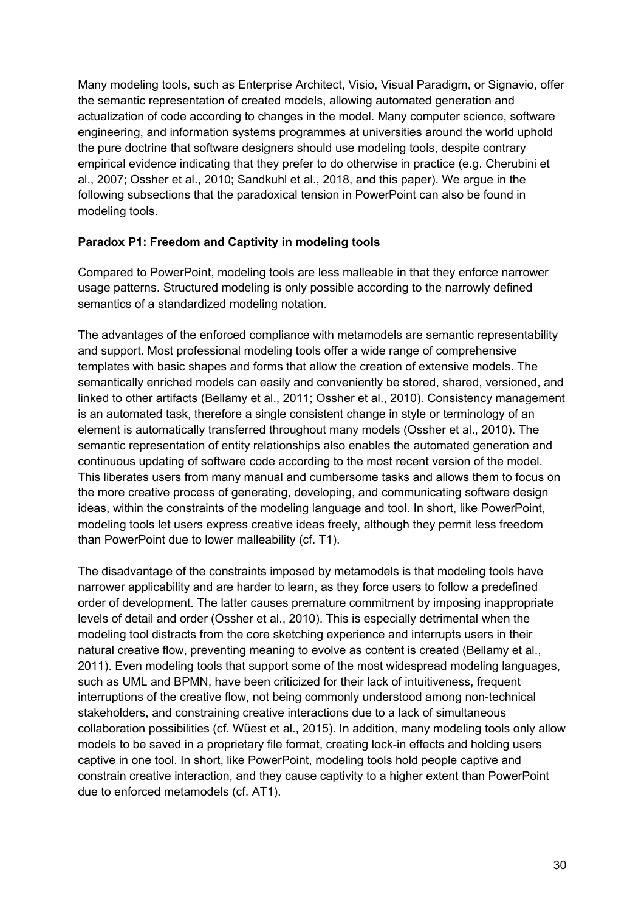Many modeling tools, such as Enterprise Architect, Visio, Visual Paradigm, or Signavio, offer the semantic representation of created models, allowing automated generation and actualization of code according to changes in the model. Many computer science, software engineering, and information systems programmes at universities around the world uphold the pure doctrine that software designers should use modeling tools, despite contrary empirical evidence indicating that they prefer to do otherwise in practice (e.g. Cherubini et al., 2007; Ossher et al., 2010; Sandkuhl et al., 2018, and this paper). We argue in the following subsections that the paradoxical tension in PowerPoint can also be found in modeling tools.

#### **Paradox P1: Freedom and Captivity in modeling tools**

Compared to PowerPoint, modeling tools are less malleable in that they enforce narrower usage patterns. Structured modeling is only possible according to the narrowly defined semantics of a standardized modeling notation.

The advantages of the enforced compliance with metamodels are semantic representability and support. Most professional modeling tools offer a wide range of comprehensive templates with basic shapes and forms that allow the creation of extensive models. The semantically enriched models can easily and conveniently be stored, shared, versioned, and linked to other artifacts (Bellamy et al., 2011; Ossher et al., 2010). Consistency management is an automated task, therefore a single consistent change in style or terminology of an element is automatically transferred throughout many models (Ossher et al., 2010). The semantic representation of entity relationships also enables the automated generation and continuous updating of software code according to the most recent version of the model. This liberates users from many manual and cumbersome tasks and allows them to focus on the more creative process of generating, developing, and communicating software design ideas, within the constraints of the modeling language and tool. In short, like PowerPoint, modeling tools let users express creative ideas freely, although they permit less freedom than PowerPoint due to lower malleability (cf. T1).

The disadvantage of the constraints imposed by metamodels is that modeling tools have narrower applicability and are harder to learn, as they force users to follow a predefined order of development. The latter causes premature commitment by imposing inappropriate levels of detail and order (Ossher et al., 2010). This is especially detrimental when the modeling tool distracts from the core sketching experience and interrupts users in their natural creative flow, preventing meaning to evolve as content is created (Bellamy et al., 2011). Even modeling tools that support some of the most widespread modeling languages, such as UML and BPMN, have been criticized for their lack of intuitiveness, frequent interruptions of the creative flow, not being commonly understood among non-technical stakeholders, and constraining creative interactions due to a lack of simultaneous collaboration possibilities (cf. Wüest et al., 2015). In addition, many modeling tools only allow models to be saved in a proprietary file format, creating lock-in effects and holding users captive in one tool. In short, like PowerPoint, modeling tools hold people captive and constrain creative interaction, and they cause captivity to a higher extent than PowerPoint due to enforced metamodels (cf. AT1).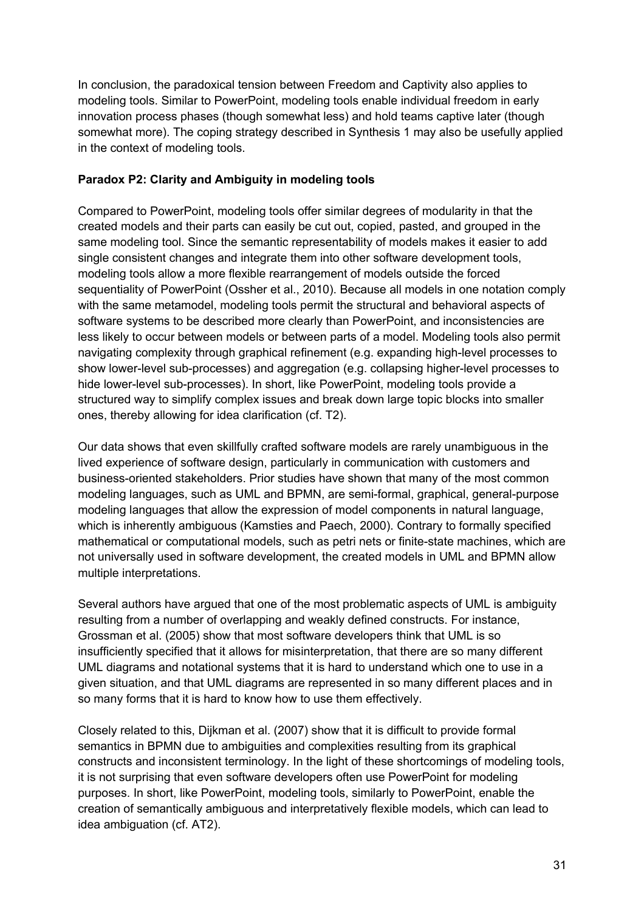In conclusion, the paradoxical tension between Freedom and Captivity also applies to modeling tools. Similar to PowerPoint, modeling tools enable individual freedom in early innovation process phases (though somewhat less) and hold teams captive later (though somewhat more). The coping strategy described in Synthesis 1 may also be usefully applied in the context of modeling tools.

#### **Paradox P2: Clarity and Ambiguity in modeling tools**

Compared to PowerPoint, modeling tools offer similar degrees of modularity in that the created models and their parts can easily be cut out, copied, pasted, and grouped in the same modeling tool. Since the semantic representability of models makes it easier to add single consistent changes and integrate them into other software development tools, modeling tools allow a more flexible rearrangement of models outside the forced sequentiality of PowerPoint (Ossher et al., 2010). Because all models in one notation comply with the same metamodel, modeling tools permit the structural and behavioral aspects of software systems to be described more clearly than PowerPoint, and inconsistencies are less likely to occur between models or between parts of a model. Modeling tools also permit navigating complexity through graphical refinement (e.g. expanding high-level processes to show lower-level sub-processes) and aggregation (e.g. collapsing higher-level processes to hide lower-level sub-processes). In short, like PowerPoint, modeling tools provide a structured way to simplify complex issues and break down large topic blocks into smaller ones, thereby allowing for idea clarification (cf. T2).

Our data shows that even skillfully crafted software models are rarely unambiguous in the lived experience of software design, particularly in communication with customers and business-oriented stakeholders. Prior studies have shown that many of the most common modeling languages, such as UML and BPMN, are semi-formal, graphical, general-purpose modeling languages that allow the expression of model components in natural language, which is inherently ambiguous (Kamsties and Paech, 2000). Contrary to formally specified mathematical or computational models, such as petri nets or finite-state machines, which are not universally used in software development, the created models in UML and BPMN allow multiple interpretations.

Several authors have argued that one of the most problematic aspects of UML is ambiguity resulting from a number of overlapping and weakly defined constructs. For instance, Grossman et al. (2005) show that most software developers think that UML is so insufficiently specified that it allows for misinterpretation, that there are so many different UML diagrams and notational systems that it is hard to understand which one to use in a given situation, and that UML diagrams are represented in so many different places and in so many forms that it is hard to know how to use them effectively.

Closely related to this, Dijkman et al. (2007) show that it is difficult to provide formal semantics in BPMN due to ambiguities and complexities resulting from its graphical constructs and inconsistent terminology. In the light of these shortcomings of modeling tools, it is not surprising that even software developers often use PowerPoint for modeling purposes. In short, like PowerPoint, modeling tools, similarly to PowerPoint, enable the creation of semantically ambiguous and interpretatively flexible models, which can lead to idea ambiguation (cf. AT2).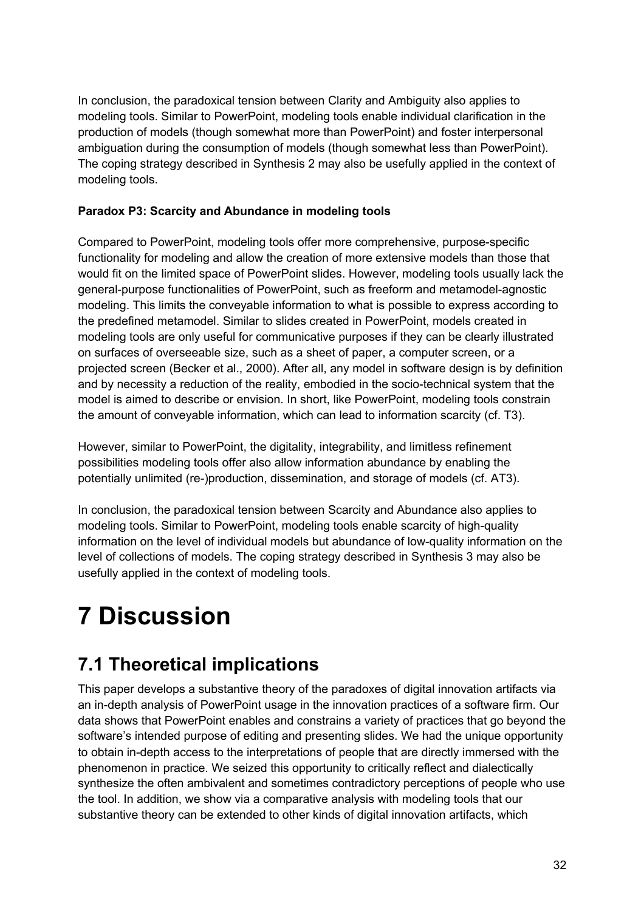In conclusion, the paradoxical tension between Clarity and Ambiguity also applies to modeling tools. Similar to PowerPoint, modeling tools enable individual clarification in the production of models (though somewhat more than PowerPoint) and foster interpersonal ambiguation during the consumption of models (though somewhat less than PowerPoint). The coping strategy described in Synthesis 2 may also be usefully applied in the context of modeling tools.

#### **Paradox P3: Scarcity and Abundance in modeling tools**

Compared to PowerPoint, modeling tools offer more comprehensive, purpose-specific functionality for modeling and allow the creation of more extensive models than those that would fit on the limited space of PowerPoint slides. However, modeling tools usually lack the general-purpose functionalities of PowerPoint, such as freeform and metamodel-agnostic modeling. This limits the conveyable information to what is possible to express according to the predefined metamodel. Similar to slides created in PowerPoint, models created in modeling tools are only useful for communicative purposes if they can be clearly illustrated on surfaces of overseeable size, such as a sheet of paper, a computer screen, or a projected screen (Becker et al., 2000). After all, any model in software design is by definition and by necessity a reduction of the reality, embodied in the socio-technical system that the model is aimed to describe or envision. In short, like PowerPoint, modeling tools constrain the amount of conveyable information, which can lead to information scarcity (cf. T3).

However, similar to PowerPoint, the digitality, integrability, and limitless refinement possibilities modeling tools offer also allow information abundance by enabling the potentially unlimited (re-)production, dissemination, and storage of models (cf. AT3).

In conclusion, the paradoxical tension between Scarcity and Abundance also applies to modeling tools. Similar to PowerPoint, modeling tools enable scarcity of high-quality information on the level of individual models but abundance of low-quality information on the level of collections of models. The coping strategy described in Synthesis 3 may also be usefully applied in the context of modeling tools.

# **7 Discussion**

## **7.1 Theoretical implications**

This paper develops a substantive theory of the paradoxes of digital innovation artifacts via an in-depth analysis of PowerPoint usage in the innovation practices of a software firm. Our data shows that PowerPoint enables and constrains a variety of practices that go beyond the software's intended purpose of editing and presenting slides. We had the unique opportunity to obtain in-depth access to the interpretations of people that are directly immersed with the phenomenon in practice. We seized this opportunity to critically reflect and dialectically synthesize the often ambivalent and sometimes contradictory perceptions of people who use the tool. In addition, we show via a comparative analysis with modeling tools that our substantive theory can be extended to other kinds of digital innovation artifacts, which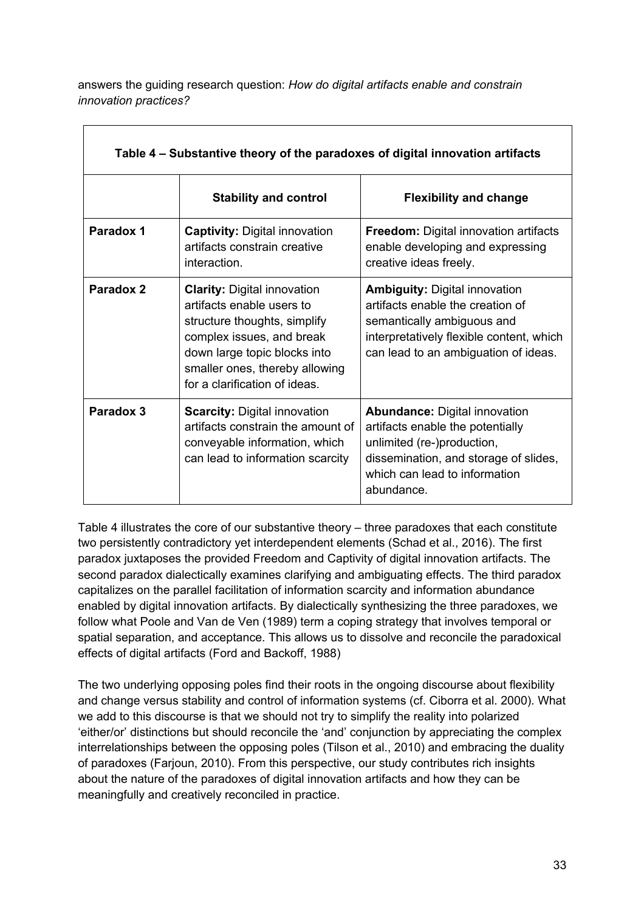answers the guiding research question: *How do digital artifacts enable and constrain innovation practices?* 

| Table 4 – Substantive theory of the paradoxes of digital innovation artifacts |                                                                                                                                                                                                                                 |                                                                                                                                                                                                |  |  |
|-------------------------------------------------------------------------------|---------------------------------------------------------------------------------------------------------------------------------------------------------------------------------------------------------------------------------|------------------------------------------------------------------------------------------------------------------------------------------------------------------------------------------------|--|--|
|                                                                               | <b>Stability and control</b>                                                                                                                                                                                                    | <b>Flexibility and change</b>                                                                                                                                                                  |  |  |
| Paradox 1                                                                     | <b>Captivity: Digital innovation</b><br>artifacts constrain creative<br>interaction.                                                                                                                                            | <b>Freedom:</b> Digital innovation artifacts<br>enable developing and expressing<br>creative ideas freely.                                                                                     |  |  |
| Paradox 2                                                                     | <b>Clarity: Digital innovation</b><br>artifacts enable users to<br>structure thoughts, simplify<br>complex issues, and break<br>down large topic blocks into<br>smaller ones, thereby allowing<br>for a clarification of ideas. | <b>Ambiguity: Digital innovation</b><br>artifacts enable the creation of<br>semantically ambiguous and<br>interpretatively flexible content, which<br>can lead to an ambiguation of ideas.     |  |  |
| Paradox 3                                                                     | <b>Scarcity: Digital innovation</b><br>artifacts constrain the amount of<br>conveyable information, which<br>can lead to information scarcity                                                                                   | <b>Abundance: Digital innovation</b><br>artifacts enable the potentially<br>unlimited (re-)production,<br>dissemination, and storage of slides,<br>which can lead to information<br>abundance. |  |  |

Table 4 illustrates the core of our substantive theory – three paradoxes that each constitute two persistently contradictory yet interdependent elements (Schad et al., 2016). The first paradox juxtaposes the provided Freedom and Captivity of digital innovation artifacts. The second paradox dialectically examines clarifying and ambiguating effects. The third paradox capitalizes on the parallel facilitation of information scarcity and information abundance enabled by digital innovation artifacts. By dialectically synthesizing the three paradoxes, we follow what Poole and Van de Ven (1989) term a coping strategy that involves temporal or spatial separation, and acceptance. This allows us to dissolve and reconcile the paradoxical effects of digital artifacts (Ford and Backoff, 1988)

The two underlying opposing poles find their roots in the ongoing discourse about flexibility and change versus stability and control of information systems (cf. Ciborra et al. 2000). What we add to this discourse is that we should not try to simplify the reality into polarized 'either/or' distinctions but should reconcile the 'and' conjunction by appreciating the complex interrelationships between the opposing poles (Tilson et al., 2010) and embracing the duality of paradoxes (Farjoun, 2010). From this perspective, our study contributes rich insights about the nature of the paradoxes of digital innovation artifacts and how they can be meaningfully and creatively reconciled in practice.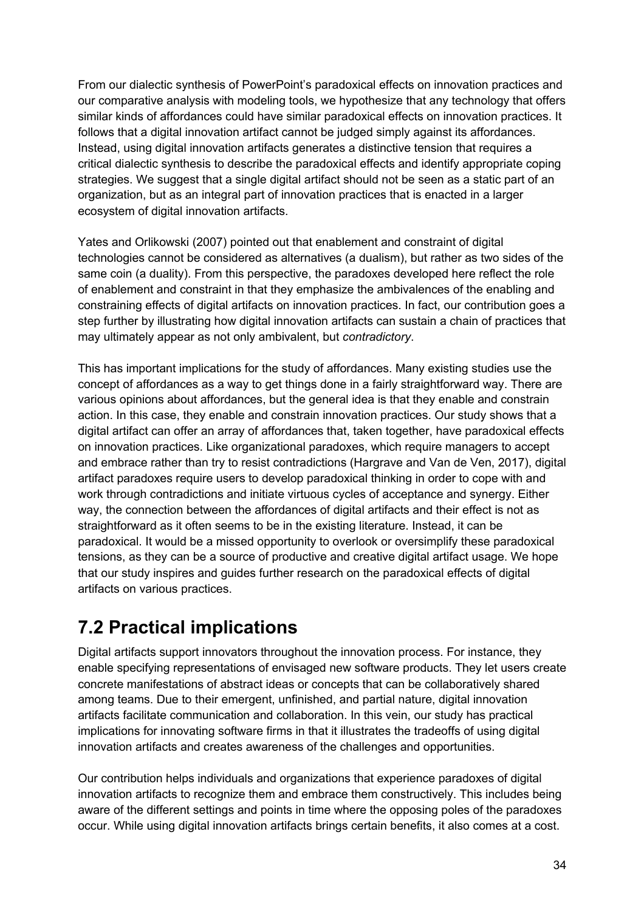From our dialectic synthesis of PowerPoint's paradoxical effects on innovation practices and our comparative analysis with modeling tools, we hypothesize that any technology that offers similar kinds of affordances could have similar paradoxical effects on innovation practices. It follows that a digital innovation artifact cannot be judged simply against its affordances. Instead, using digital innovation artifacts generates a distinctive tension that requires a critical dialectic synthesis to describe the paradoxical effects and identify appropriate coping strategies. We suggest that a single digital artifact should not be seen as a static part of an organization, but as an integral part of innovation practices that is enacted in a larger ecosystem of digital innovation artifacts.

Yates and Orlikowski (2007) pointed out that enablement and constraint of digital technologies cannot be considered as alternatives (a dualism), but rather as two sides of the same coin (a duality). From this perspective, the paradoxes developed here reflect the role of enablement and constraint in that they emphasize the ambivalences of the enabling and constraining effects of digital artifacts on innovation practices. In fact, our contribution goes a step further by illustrating how digital innovation artifacts can sustain a chain of practices that may ultimately appear as not only ambivalent, but *contradictory*.

This has important implications for the study of affordances. Many existing studies use the concept of affordances as a way to get things done in a fairly straightforward way. There are various opinions about affordances, but the general idea is that they enable and constrain action. In this case, they enable and constrain innovation practices. Our study shows that a digital artifact can offer an array of affordances that, taken together, have paradoxical effects on innovation practices. Like organizational paradoxes, which require managers to accept and embrace rather than try to resist contradictions (Hargrave and Van de Ven, 2017), digital artifact paradoxes require users to develop paradoxical thinking in order to cope with and work through contradictions and initiate virtuous cycles of acceptance and synergy. Either way, the connection between the affordances of digital artifacts and their effect is not as straightforward as it often seems to be in the existing literature. Instead, it can be paradoxical. It would be a missed opportunity to overlook or oversimplify these paradoxical tensions, as they can be a source of productive and creative digital artifact usage. We hope that our study inspires and guides further research on the paradoxical effects of digital artifacts on various practices.

### **7.2 Practical implications**

Digital artifacts support innovators throughout the innovation process. For instance, they enable specifying representations of envisaged new software products. They let users create concrete manifestations of abstract ideas or concepts that can be collaboratively shared among teams. Due to their emergent, unfinished, and partial nature, digital innovation artifacts facilitate communication and collaboration. In this vein, our study has practical implications for innovating software firms in that it illustrates the tradeoffs of using digital innovation artifacts and creates awareness of the challenges and opportunities.

Our contribution helps individuals and organizations that experience paradoxes of digital innovation artifacts to recognize them and embrace them constructively. This includes being aware of the different settings and points in time where the opposing poles of the paradoxes occur. While using digital innovation artifacts brings certain benefits, it also comes at a cost.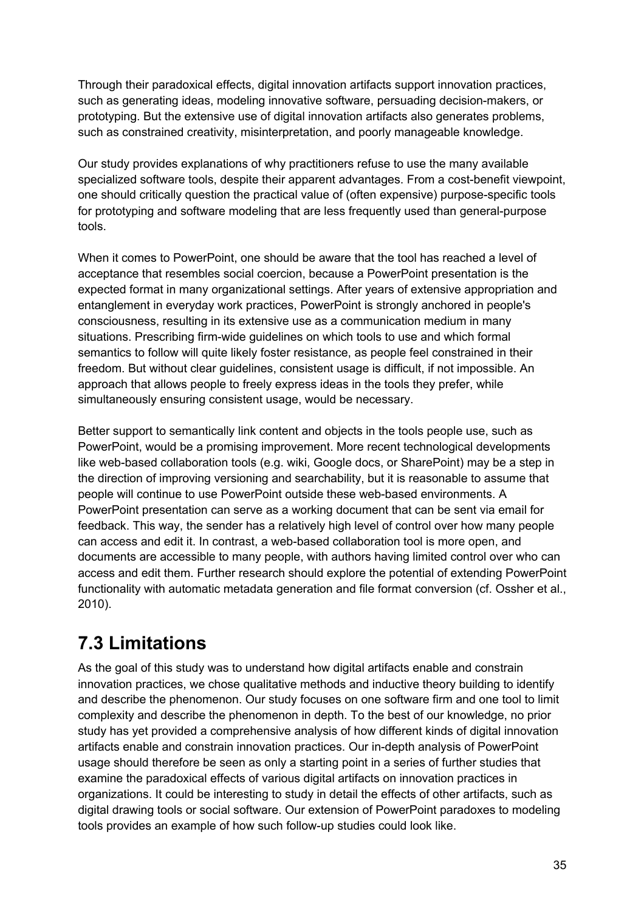Through their paradoxical effects, digital innovation artifacts support innovation practices, such as generating ideas, modeling innovative software, persuading decision-makers, or prototyping. But the extensive use of digital innovation artifacts also generates problems, such as constrained creativity, misinterpretation, and poorly manageable knowledge.

Our study provides explanations of why practitioners refuse to use the many available specialized software tools, despite their apparent advantages. From a cost-benefit viewpoint, one should critically question the practical value of (often expensive) purpose-specific tools for prototyping and software modeling that are less frequently used than general-purpose tools.

When it comes to PowerPoint, one should be aware that the tool has reached a level of acceptance that resembles social coercion, because a PowerPoint presentation is the expected format in many organizational settings. After years of extensive appropriation and entanglement in everyday work practices, PowerPoint is strongly anchored in people's consciousness, resulting in its extensive use as a communication medium in many situations. Prescribing firm-wide guidelines on which tools to use and which formal semantics to follow will quite likely foster resistance, as people feel constrained in their freedom. But without clear guidelines, consistent usage is difficult, if not impossible. An approach that allows people to freely express ideas in the tools they prefer, while simultaneously ensuring consistent usage, would be necessary.

Better support to semantically link content and objects in the tools people use, such as PowerPoint, would be a promising improvement. More recent technological developments like web-based collaboration tools (e.g. wiki, Google docs, or SharePoint) may be a step in the direction of improving versioning and searchability, but it is reasonable to assume that people will continue to use PowerPoint outside these web-based environments. A PowerPoint presentation can serve as a working document that can be sent via email for feedback. This way, the sender has a relatively high level of control over how many people can access and edit it. In contrast, a web-based collaboration tool is more open, and documents are accessible to many people, with authors having limited control over who can access and edit them. Further research should explore the potential of extending PowerPoint functionality with automatic metadata generation and file format conversion (cf. Ossher et al., 2010).

### **7.3 Limitations**

As the goal of this study was to understand how digital artifacts enable and constrain innovation practices, we chose qualitative methods and inductive theory building to identify and describe the phenomenon. Our study focuses on one software firm and one tool to limit complexity and describe the phenomenon in depth. To the best of our knowledge, no prior study has yet provided a comprehensive analysis of how different kinds of digital innovation artifacts enable and constrain innovation practices. Our in-depth analysis of PowerPoint usage should therefore be seen as only a starting point in a series of further studies that examine the paradoxical effects of various digital artifacts on innovation practices in organizations. It could be interesting to study in detail the effects of other artifacts, such as digital drawing tools or social software. Our extension of PowerPoint paradoxes to modeling tools provides an example of how such follow-up studies could look like.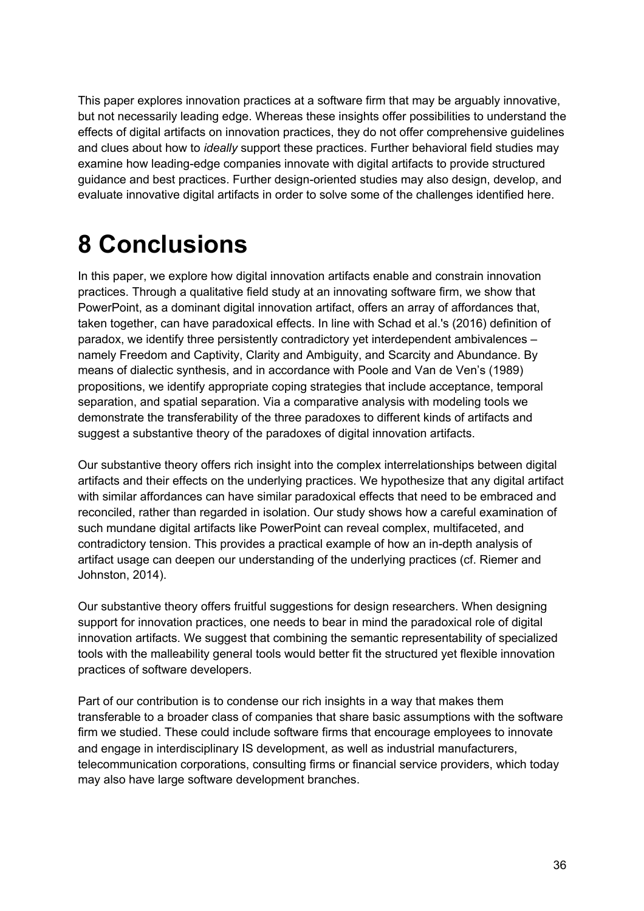This paper explores innovation practices at a software firm that may be arguably innovative, but not necessarily leading edge. Whereas these insights offer possibilities to understand the effects of digital artifacts on innovation practices, they do not offer comprehensive guidelines and clues about how to *ideally* support these practices. Further behavioral field studies may examine how leading-edge companies innovate with digital artifacts to provide structured guidance and best practices. Further design-oriented studies may also design, develop, and evaluate innovative digital artifacts in order to solve some of the challenges identified here.

# **8 Conclusions**

In this paper, we explore how digital innovation artifacts enable and constrain innovation practices. Through a qualitative field study at an innovating software firm, we show that PowerPoint, as a dominant digital innovation artifact, offers an array of affordances that, taken together, can have paradoxical effects. In line with Schad et al.'s (2016) definition of paradox, we identify three persistently contradictory yet interdependent ambivalences – namely Freedom and Captivity, Clarity and Ambiguity, and Scarcity and Abundance. By means of dialectic synthesis, and in accordance with Poole and Van de Ven's (1989) propositions, we identify appropriate coping strategies that include acceptance, temporal separation, and spatial separation. Via a comparative analysis with modeling tools we demonstrate the transferability of the three paradoxes to different kinds of artifacts and suggest a substantive theory of the paradoxes of digital innovation artifacts.

Our substantive theory offers rich insight into the complex interrelationships between digital artifacts and their effects on the underlying practices. We hypothesize that any digital artifact with similar affordances can have similar paradoxical effects that need to be embraced and reconciled, rather than regarded in isolation. Our study shows how a careful examination of such mundane digital artifacts like PowerPoint can reveal complex, multifaceted, and contradictory tension. This provides a practical example of how an in-depth analysis of artifact usage can deepen our understanding of the underlying practices (cf. Riemer and Johnston, 2014).

Our substantive theory offers fruitful suggestions for design researchers. When designing support for innovation practices, one needs to bear in mind the paradoxical role of digital innovation artifacts. We suggest that combining the semantic representability of specialized tools with the malleability general tools would better fit the structured yet flexible innovation practices of software developers.

Part of our contribution is to condense our rich insights in a way that makes them transferable to a broader class of companies that share basic assumptions with the software firm we studied. These could include software firms that encourage employees to innovate and engage in interdisciplinary IS development, as well as industrial manufacturers, telecommunication corporations, consulting firms or financial service providers, which today may also have large software development branches.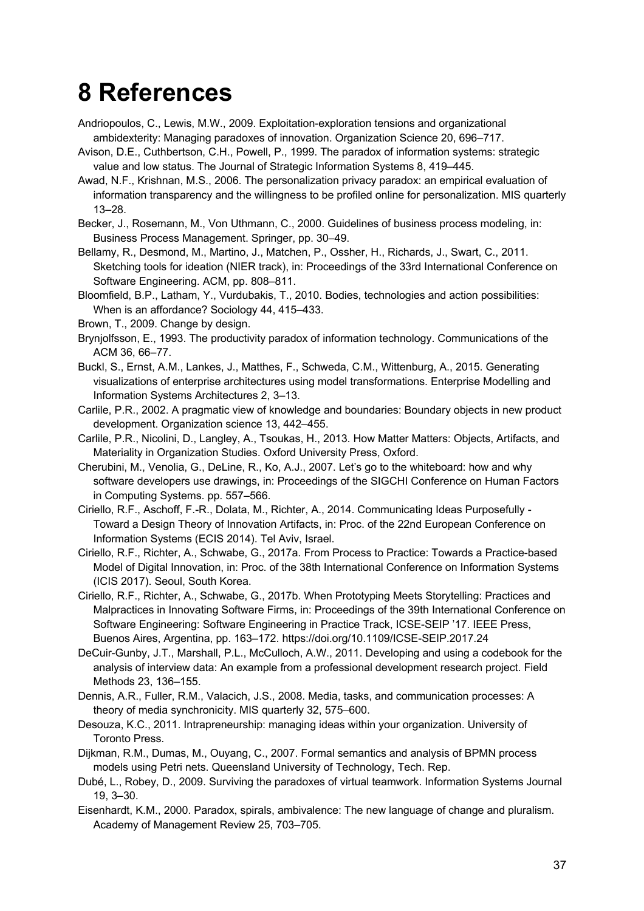# **8 References**

- Andriopoulos, C., Lewis, M.W., 2009. Exploitation-exploration tensions and organizational ambidexterity: Managing paradoxes of innovation. Organization Science 20, 696–717.
- Avison, D.E., Cuthbertson, C.H., Powell, P., 1999. The paradox of information systems: strategic value and low status. The Journal of Strategic Information Systems 8, 419–445.
- Awad, N.F., Krishnan, M.S., 2006. The personalization privacy paradox: an empirical evaluation of information transparency and the willingness to be profiled online for personalization. MIS quarterly 13–28.
- Becker, J., Rosemann, M., Von Uthmann, C., 2000. Guidelines of business process modeling, in: Business Process Management. Springer, pp. 30–49.
- Bellamy, R., Desmond, M., Martino, J., Matchen, P., Ossher, H., Richards, J., Swart, C., 2011. Sketching tools for ideation (NIER track), in: Proceedings of the 33rd International Conference on Software Engineering. ACM, pp. 808–811.
- Bloomfield, B.P., Latham, Y., Vurdubakis, T., 2010. Bodies, technologies and action possibilities: When is an affordance? Sociology 44, 415–433.
- Brown, T., 2009. Change by design.
- Brynjolfsson, E., 1993. The productivity paradox of information technology. Communications of the ACM 36, 66–77.
- Buckl, S., Ernst, A.M., Lankes, J., Matthes, F., Schweda, C.M., Wittenburg, A., 2015. Generating visualizations of enterprise architectures using model transformations. Enterprise Modelling and Information Systems Architectures 2, 3–13.
- Carlile, P.R., 2002. A pragmatic view of knowledge and boundaries: Boundary objects in new product development. Organization science 13, 442–455.
- Carlile, P.R., Nicolini, D., Langley, A., Tsoukas, H., 2013. How Matter Matters: Objects, Artifacts, and Materiality in Organization Studies. Oxford University Press, Oxford.
- Cherubini, M., Venolia, G., DeLine, R., Ko, A.J., 2007. Let's go to the whiteboard: how and why software developers use drawings, in: Proceedings of the SIGCHI Conference on Human Factors in Computing Systems. pp. 557–566.
- Ciriello, R.F., Aschoff, F.-R., Dolata, M., Richter, A., 2014. Communicating Ideas Purposefully Toward a Design Theory of Innovation Artifacts, in: Proc. of the 22nd European Conference on Information Systems (ECIS 2014). Tel Aviv, Israel.
- Ciriello, R.F., Richter, A., Schwabe, G., 2017a. From Process to Practice: Towards a Practice-based Model of Digital Innovation, in: Proc. of the 38th International Conference on Information Systems (ICIS 2017). Seoul, South Korea.
- Ciriello, R.F., Richter, A., Schwabe, G., 2017b. When Prototyping Meets Storytelling: Practices and Malpractices in Innovating Software Firms, in: Proceedings of the 39th International Conference on Software Engineering: Software Engineering in Practice Track, ICSE-SEIP '17. IEEE Press, Buenos Aires, Argentina, pp. 163–172. https://doi.org/10.1109/ICSE-SEIP.2017.24
- DeCuir-Gunby, J.T., Marshall, P.L., McCulloch, A.W., 2011. Developing and using a codebook for the analysis of interview data: An example from a professional development research project. Field Methods 23, 136–155.
- Dennis, A.R., Fuller, R.M., Valacich, J.S., 2008. Media, tasks, and communication processes: A theory of media synchronicity. MIS quarterly 32, 575–600.
- Desouza, K.C., 2011. Intrapreneurship: managing ideas within your organization. University of Toronto Press.
- Dijkman, R.M., Dumas, M., Ouyang, C., 2007. Formal semantics and analysis of BPMN process models using Petri nets. Queensland University of Technology, Tech. Rep.
- Dubé, L., Robey, D., 2009. Surviving the paradoxes of virtual teamwork. Information Systems Journal 19, 3–30.
- Eisenhardt, K.M., 2000. Paradox, spirals, ambivalence: The new language of change and pluralism. Academy of Management Review 25, 703–705.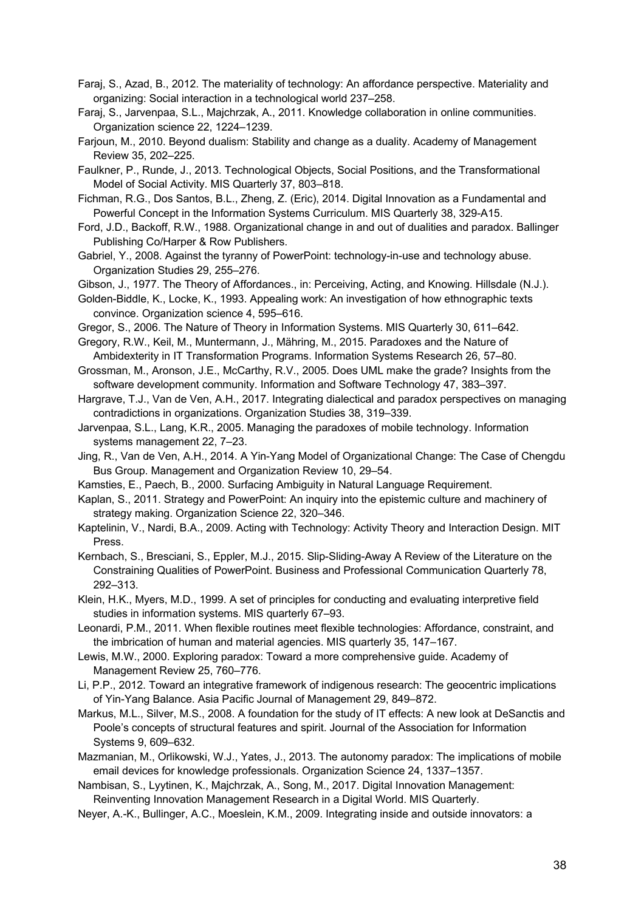- Faraj, S., Azad, B., 2012. The materiality of technology: An affordance perspective. Materiality and organizing: Social interaction in a technological world 237–258.
- Faraj, S., Jarvenpaa, S.L., Majchrzak, A., 2011. Knowledge collaboration in online communities. Organization science 22, 1224–1239.
- Farjoun, M., 2010. Beyond dualism: Stability and change as a duality. Academy of Management Review 35, 202–225.
- Faulkner, P., Runde, J., 2013. Technological Objects, Social Positions, and the Transformational Model of Social Activity. MIS Quarterly 37, 803–818.
- Fichman, R.G., Dos Santos, B.L., Zheng, Z. (Eric), 2014. Digital Innovation as a Fundamental and Powerful Concept in the Information Systems Curriculum. MIS Quarterly 38, 329-A15.
- Ford, J.D., Backoff, R.W., 1988. Organizational change in and out of dualities and paradox. Ballinger Publishing Co/Harper & Row Publishers.
- Gabriel, Y., 2008. Against the tyranny of PowerPoint: technology-in-use and technology abuse. Organization Studies 29, 255–276.
- Gibson, J., 1977. The Theory of Affordances., in: Perceiving, Acting, and Knowing. Hillsdale (N.J.).
- Golden-Biddle, K., Locke, K., 1993. Appealing work: An investigation of how ethnographic texts convince. Organization science 4, 595–616.
- Gregor, S., 2006. The Nature of Theory in Information Systems. MIS Quarterly 30, 611–642.
- Gregory, R.W., Keil, M., Muntermann, J., Mähring, M., 2015. Paradoxes and the Nature of Ambidexterity in IT Transformation Programs. Information Systems Research 26, 57–80.
- Grossman, M., Aronson, J.E., McCarthy, R.V., 2005. Does UML make the grade? Insights from the software development community. Information and Software Technology 47, 383–397.
- Hargrave, T.J., Van de Ven, A.H., 2017. Integrating dialectical and paradox perspectives on managing contradictions in organizations. Organization Studies 38, 319–339.
- Jarvenpaa, S.L., Lang, K.R., 2005. Managing the paradoxes of mobile technology. Information systems management 22, 7–23.
- Jing, R., Van de Ven, A.H., 2014. A Yin-Yang Model of Organizational Change: The Case of Chengdu Bus Group. Management and Organization Review 10, 29–54.
- Kamsties, E., Paech, B., 2000. Surfacing Ambiguity in Natural Language Requirement.
- Kaplan, S., 2011. Strategy and PowerPoint: An inquiry into the epistemic culture and machinery of strategy making. Organization Science 22, 320–346.
- Kaptelinin, V., Nardi, B.A., 2009. Acting with Technology: Activity Theory and Interaction Design. MIT Press.
- Kernbach, S., Bresciani, S., Eppler, M.J., 2015. Slip-Sliding-Away A Review of the Literature on the Constraining Qualities of PowerPoint. Business and Professional Communication Quarterly 78, 292–313.
- Klein, H.K., Myers, M.D., 1999. A set of principles for conducting and evaluating interpretive field studies in information systems. MIS quarterly 67–93.
- Leonardi, P.M., 2011. When flexible routines meet flexible technologies: Affordance, constraint, and the imbrication of human and material agencies. MIS quarterly 35, 147–167.
- Lewis, M.W., 2000. Exploring paradox: Toward a more comprehensive guide. Academy of Management Review 25, 760–776.
- Li, P.P., 2012. Toward an integrative framework of indigenous research: The geocentric implications of Yin-Yang Balance. Asia Pacific Journal of Management 29, 849–872.
- Markus, M.L., Silver, M.S., 2008. A foundation for the study of IT effects: A new look at DeSanctis and Poole's concepts of structural features and spirit. Journal of the Association for Information Systems 9, 609–632.
- Mazmanian, M., Orlikowski, W.J., Yates, J., 2013. The autonomy paradox: The implications of mobile email devices for knowledge professionals. Organization Science 24, 1337–1357.
- Nambisan, S., Lyytinen, K., Majchrzak, A., Song, M., 2017. Digital Innovation Management: Reinventing Innovation Management Research in a Digital World. MIS Quarterly.
- Neyer, A.-K., Bullinger, A.C., Moeslein, K.M., 2009. Integrating inside and outside innovators: a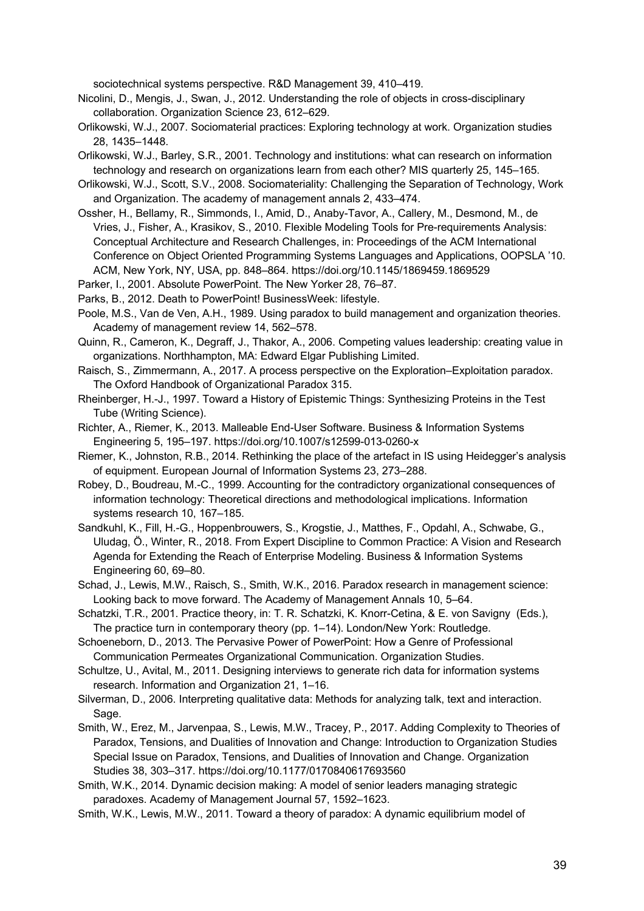sociotechnical systems perspective. R&D Management 39, 410–419.

- Nicolini, D., Mengis, J., Swan, J., 2012. Understanding the role of objects in cross-disciplinary collaboration. Organization Science 23, 612–629.
- Orlikowski, W.J., 2007. Sociomaterial practices: Exploring technology at work. Organization studies 28, 1435–1448.
- Orlikowski, W.J., Barley, S.R., 2001. Technology and institutions: what can research on information technology and research on organizations learn from each other? MIS quarterly 25, 145–165.
- Orlikowski, W.J., Scott, S.V., 2008. Sociomateriality: Challenging the Separation of Technology, Work and Organization. The academy of management annals 2, 433–474.
- Ossher, H., Bellamy, R., Simmonds, I., Amid, D., Anaby-Tavor, A., Callery, M., Desmond, M., de Vries, J., Fisher, A., Krasikov, S., 2010. Flexible Modeling Tools for Pre-requirements Analysis: Conceptual Architecture and Research Challenges, in: Proceedings of the ACM International Conference on Object Oriented Programming Systems Languages and Applications, OOPSLA '10. ACM, New York, NY, USA, pp. 848–864. https://doi.org/10.1145/1869459.1869529
- Parker, I., 2001. Absolute PowerPoint. The New Yorker 28, 76–87.
- Parks, B., 2012. Death to PowerPoint! BusinessWeek: lifestyle.
- Poole, M.S., Van de Ven, A.H., 1989. Using paradox to build management and organization theories. Academy of management review 14, 562–578.
- Quinn, R., Cameron, K., Degraff, J., Thakor, A., 2006. Competing values leadership: creating value in organizations. Northhampton, MA: Edward Elgar Publishing Limited.
- Raisch, S., Zimmermann, A., 2017. A process perspective on the Exploration–Exploitation paradox. The Oxford Handbook of Organizational Paradox 315.
- Rheinberger, H.-J., 1997. Toward a History of Epistemic Things: Synthesizing Proteins in the Test Tube (Writing Science).
- Richter, A., Riemer, K., 2013. Malleable End-User Software. Business & Information Systems Engineering 5, 195–197. https://doi.org/10.1007/s12599-013-0260-x
- Riemer, K., Johnston, R.B., 2014. Rethinking the place of the artefact in IS using Heidegger's analysis of equipment. European Journal of Information Systems 23, 273–288.
- Robey, D., Boudreau, M.-C., 1999. Accounting for the contradictory organizational consequences of information technology: Theoretical directions and methodological implications. Information systems research 10, 167–185.
- Sandkuhl, K., Fill, H.-G., Hoppenbrouwers, S., Krogstie, J., Matthes, F., Opdahl, A., Schwabe, G., Uludag, Ö., Winter, R., 2018. From Expert Discipline to Common Practice: A Vision and Research Agenda for Extending the Reach of Enterprise Modeling. Business & Information Systems Engineering 60, 69–80.
- Schad, J., Lewis, M.W., Raisch, S., Smith, W.K., 2016. Paradox research in management science: Looking back to move forward. The Academy of Management Annals 10, 5–64.
- Schatzki, T.R., 2001. Practice theory, in: T. R. Schatzki, K. Knorr-Cetina, & E. von Savigny (Eds.), The practice turn in contemporary theory (pp. 1–14). London/New York: Routledge.

Schoeneborn, D., 2013. The Pervasive Power of PowerPoint: How a Genre of Professional Communication Permeates Organizational Communication. Organization Studies.

- Schultze, U., Avital, M., 2011. Designing interviews to generate rich data for information systems research. Information and Organization 21, 1–16.
- Silverman, D., 2006. Interpreting qualitative data: Methods for analyzing talk, text and interaction. Sage.
- Smith, W., Erez, M., Jarvenpaa, S., Lewis, M.W., Tracey, P., 2017. Adding Complexity to Theories of Paradox, Tensions, and Dualities of Innovation and Change: Introduction to Organization Studies Special Issue on Paradox, Tensions, and Dualities of Innovation and Change. Organization Studies 38, 303–317. https://doi.org/10.1177/0170840617693560
- Smith, W.K., 2014. Dynamic decision making: A model of senior leaders managing strategic paradoxes. Academy of Management Journal 57, 1592–1623.
- Smith, W.K., Lewis, M.W., 2011. Toward a theory of paradox: A dynamic equilibrium model of